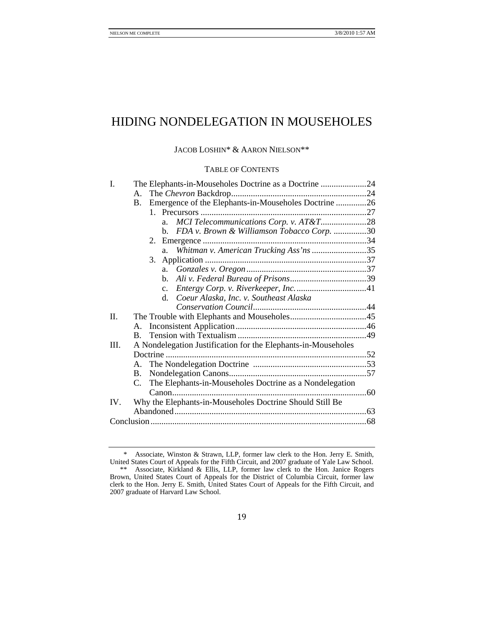# HIDING NONDELEGATION IN MOUSEHOLES

## JACOB LOSHIN\* & AARON NIELSON\*\*

## TABLE OF CONTENTS

| I.      | The Elephants-in-Mouseholes Doctrine as a Doctrine 24             |  |
|---------|-------------------------------------------------------------------|--|
|         | А.                                                                |  |
|         | Emergence of the Elephants-in-Mouseholes Doctrine 26<br><b>B.</b> |  |
|         |                                                                   |  |
|         | MCI Telecommunications Corp. v. AT&T28<br>a.                      |  |
|         | FDA v. Brown & Williamson Tobacco Corp. 30<br>b.                  |  |
|         |                                                                   |  |
|         | Whitman v. American Trucking Ass'ns 35<br>a.                      |  |
|         |                                                                   |  |
|         | a.                                                                |  |
|         | b.                                                                |  |
|         | $c_{\cdot}$                                                       |  |
|         | Coeur Alaska, Inc. v. Southeast Alaska<br>d.                      |  |
|         |                                                                   |  |
| $\Pi$ . |                                                                   |  |
|         |                                                                   |  |
|         | $\mathbf{B}$ .                                                    |  |
| III.    | A Nondelegation Justification for the Elephants-in-Mouseholes     |  |
|         |                                                                   |  |
|         | A.                                                                |  |
|         | <b>B.</b>                                                         |  |
|         | The Elephants-in-Mouseholes Doctrine as a Nondelegation<br>C.     |  |
|         |                                                                   |  |
| IV.     | Why the Elephants-in-Mouseholes Doctrine Should Still Be          |  |
|         |                                                                   |  |
|         |                                                                   |  |
|         |                                                                   |  |

 <sup>\*</sup> Associate, Winston & Strawn, LLP, former law clerk to the Hon. Jerry E. Smith, United States Court of Appeals for the Fifth Circuit, and 2007 graduate of Yale Law School. \*\* Associate, Kirkland & Ellis, LLP, former law clerk to the Hon. Janice Rogers Brown, United States Court of Appeals for the District of Columbia Circuit, former law clerk to the Hon. Jerry E. Smith, United States Court of Appeals for the Fifth Circuit, and 2007 graduate of Harvard Law School.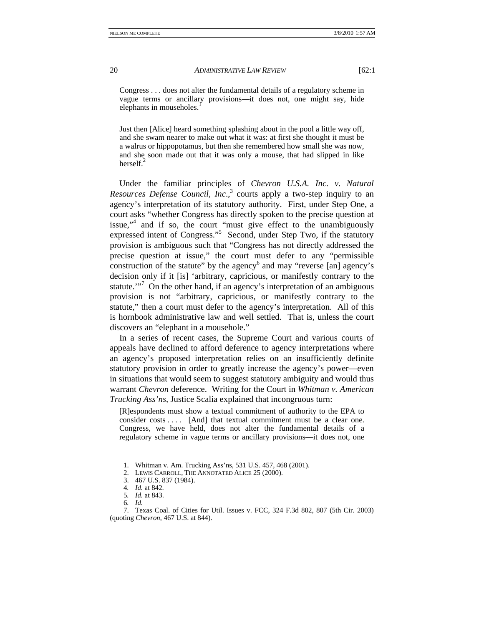Congress . . . does not alter the fundamental details of a regulatory scheme in vague terms or ancillary provisions—it does not, one might say, hide elephants in mouseholes.<sup>1</sup>

Just then [Alice] heard something splashing about in the pool a little way off, and she swam nearer to make out what it was: at first she thought it must be a walrus or hippopotamus, but then she remembered how small she was now, and she soon made out that it was only a mouse, that had slipped in like herself. $^{2}$ 

Under the familiar principles of *Chevron U.S.A. Inc. v. Natural Resources Defense Council, Inc.*,<sup>3</sup> courts apply a two-step inquiry to an agency's interpretation of its statutory authority. First, under Step One, a court asks "whether Congress has directly spoken to the precise question at issue,"<sup>4</sup> and if so, the court "must give effect to the unambiguously expressed intent of Congress."<sup>5</sup> Second, under Step Two, if the statutory provision is ambiguous such that "Congress has not directly addressed the precise question at issue," the court must defer to any "permissible construction of the statute" by the agency<sup>6</sup> and may "reverse [an] agency's decision only if it [is] 'arbitrary, capricious, or manifestly contrary to the statute."<sup>7</sup> On the other hand, if an agency's interpretation of an ambiguous provision is not "arbitrary, capricious, or manifestly contrary to the statute," then a court must defer to the agency's interpretation. All of this is hornbook administrative law and well settled. That is, unless the court discovers an "elephant in a mousehole."

In a series of recent cases, the Supreme Court and various courts of appeals have declined to afford deference to agency interpretations where an agency's proposed interpretation relies on an insufficiently definite statutory provision in order to greatly increase the agency's power—even in situations that would seem to suggest statutory ambiguity and would thus warrant *Chevron* deference. Writing for the Court in *Whitman v. American Trucking Ass'ns*, Justice Scalia explained that incongruous turn:

[R]espondents must show a textual commitment of authority to the EPA to consider costs .... [And] that textual commitment must be a clear one. Congress, we have held, does not alter the fundamental details of a regulatory scheme in vague terms or ancillary provisions—it does not, one

 <sup>1.</sup> Whitman v. Am. Trucking Ass'ns, 531 U.S. 457, 468 (2001).

 <sup>2.</sup> LEWIS CARROLL, THE ANNOTATED ALICE 25 (2000).

 <sup>3. 467</sup> U.S. 837 (1984).

<sup>4</sup>*. Id.* at 842.

<sup>5</sup>*. Id.* at 843.

<sup>6</sup>*. Id.* 

 <sup>7.</sup> Texas Coal. of Cities for Util. Issues v. FCC, 324 F.3d 802, 807 (5th Cir. 2003) (quoting *Chevron*, 467 U.S. at 844).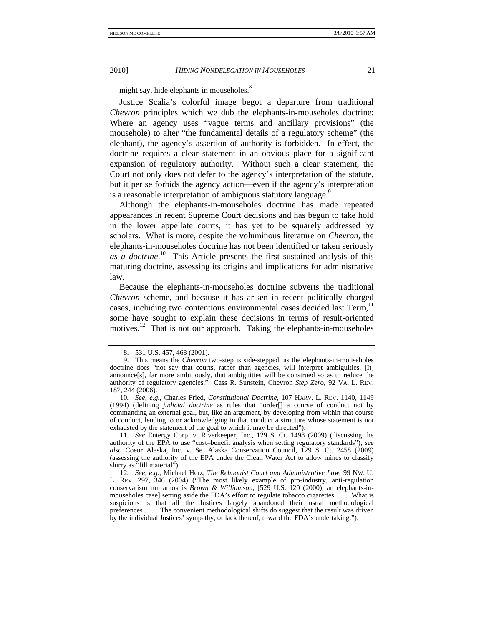might say, hide elephants in mouseholes.<sup>8</sup>

Justice Scalia's colorful image begot a departure from traditional *Chevron* principles which we dub the elephants-in-mouseholes doctrine: Where an agency uses "vague terms and ancillary provisions" (the mousehole) to alter "the fundamental details of a regulatory scheme" (the elephant), the agency's assertion of authority is forbidden. In effect, the doctrine requires a clear statement in an obvious place for a significant expansion of regulatory authority. Without such a clear statement, the Court not only does not defer to the agency's interpretation of the statute, but it per se forbids the agency action—even if the agency's interpretation is a reasonable interpretation of ambiguous statutory language.<sup>9</sup>

Although the elephants-in-mouseholes doctrine has made repeated appearances in recent Supreme Court decisions and has begun to take hold in the lower appellate courts, it has yet to be squarely addressed by scholars. What is more, despite the voluminous literature on *Chevron*, the elephants-in-mouseholes doctrine has not been identified or taken seriously *as a doctrine*. 10 This Article presents the first sustained analysis of this maturing doctrine, assessing its origins and implications for administrative law.

Because the elephants-in-mouseholes doctrine subverts the traditional *Chevron* scheme, and because it has arisen in recent politically charged cases, including two contentious environmental cases decided last Term.<sup>11</sup> some have sought to explain these decisions in terms of result-oriented motives.<sup>12</sup> That is not our approach. Taking the elephants-in-mouseholes

 <sup>8. 531</sup> U.S. 457, 468 (2001).

 <sup>9.</sup> This means the *Chevron* two-step is side-stepped, as the elephants-in-mouseholes doctrine does "not say that courts, rather than agencies, will interpret ambiguities. [It] announce[s], far more ambitiously, that ambiguities will be construed so as to reduce the authority of regulatory agencies." Cass R. Sunstein, Chevron *Step Zero*, 92 VA. L. REV. 187, 244 (2006).

<sup>10</sup>*. See, e.g.*, Charles Fried, *Constitutional Doctrine*, 107 HARV. L. REV. 1140, 1149 (1994) (defining *judicial doctrine* as rules that "order[] a course of conduct not by commanding an external goal, but, like an argument, by developing from within that course of conduct, lending to or acknowledging in that conduct a structure whose statement is not exhausted by the statement of the goal to which it may be directed").

<sup>11</sup>*. See* Entergy Corp. v. Riverkeeper, Inc*.*, 129 S. Ct. 1498 (2009) (discussing the authority of the EPA to use "cost–benefit analysis when setting regulatory standards"); *see also* Coeur Alaska, Inc. v. Se. Alaska Conservation Council, 129 S. Ct. 2458 (2009) (assessing the authority of the EPA under the Clean Water Act to allow mines to classify slurry as "fill material").

<sup>12</sup>*. See, e.g.*, Michael Herz, *The Rehnquist Court and Administrative Law*, 99 NW. U. L. REV. 297, 346 (2004) ("The most likely example of pro-industry, anti-regulation conservatism run amok is *Brown & Williamson*, [529 U.S. 120 (2000), an elephants-inmouseholes case] setting aside the FDA's effort to regulate tobacco cigarettes. . . . What is suspicious is that all the Justices largely abandoned their usual methodological preferences . . . . The convenient methodological shifts do suggest that the result was driven by the individual Justices' sympathy, or lack thereof, toward the FDA's undertaking.").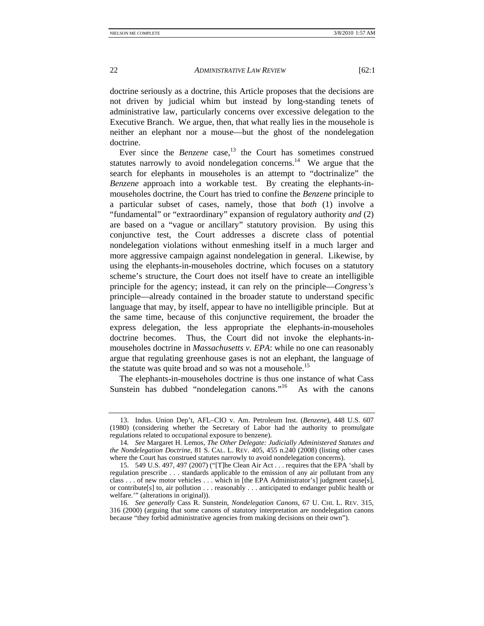doctrine seriously as a doctrine, this Article proposes that the decisions are not driven by judicial whim but instead by long-standing tenets of

administrative law, particularly concerns over excessive delegation to the Executive Branch. We argue, then, that what really lies in the mousehole is neither an elephant nor a mouse—but the ghost of the nondelegation doctrine.

Ever since the *Benzene* case,<sup>13</sup> the Court has sometimes construed statutes narrowly to avoid nondelegation concerns.<sup>14</sup> We argue that the search for elephants in mouseholes is an attempt to "doctrinalize" the *Benzene* approach into a workable test. By creating the elephants-inmouseholes doctrine, the Court has tried to confine the *Benzene* principle to a particular subset of cases, namely, those that *both* (1) involve a "fundamental" or "extraordinary" expansion of regulatory authority *and* (2) are based on a "vague or ancillary" statutory provision. By using this conjunctive test, the Court addresses a discrete class of potential nondelegation violations without enmeshing itself in a much larger and more aggressive campaign against nondelegation in general. Likewise, by using the elephants-in-mouseholes doctrine, which focuses on a statutory scheme's structure, the Court does not itself have to create an intelligible principle for the agency; instead, it can rely on the principle—*Congress's* principle—already contained in the broader statute to understand specific language that may, by itself, appear to have no intelligible principle. But at the same time, because of this conjunctive requirement, the broader the express delegation, the less appropriate the elephants-in-mouseholes doctrine becomes. Thus, the Court did not invoke the elephants-inmouseholes doctrine in *Massachusetts v. EPA*: while no one can reasonably argue that regulating greenhouse gases is not an elephant, the language of the statute was quite broad and so was not a mousehole.<sup>15</sup>

The elephants-in-mouseholes doctrine is thus one instance of what Cass Sunstein has dubbed "nondelegation canons."<sup>16</sup> As with the canons

 <sup>13.</sup> Indus. Union Dep't, AFL–CIO v. Am. Petroleum Inst. (*Benzene*), 448 U.S. 607 (1980) (considering whether the Secretary of Labor had the authority to promulgate regulations related to occupational exposure to benzene).

<sup>14</sup>*. See* Margaret H. Lemos, *The Other Delegate: Judicially Administered Statutes and the Nondelegation Doctrine*, 81 S. CAL. L. REV. 405, 455 n.240 (2008) (listing other cases where the Court has construed statutes narrowly to avoid nondelegation concerns).

 <sup>15. 549</sup> U.S. 497, 497 (2007) ("[T]he Clean Air Act . . . requires that the EPA 'shall by regulation prescribe . . . standards applicable to the emission of any air pollutant from any class . . . of new motor vehicles . . . which in [the EPA Administrator's] judgment cause[s], or contribute[s] to, air pollution . . . reasonably . . . anticipated to endanger public health or welfare.'" (alterations in original)).

<sup>16</sup>*. See generally* Cass R. Sunstein, *Nondelegation Canons*, 67 U. CHI. L. REV. 315, 316 (2000) (arguing that some canons of statutory interpretation are nondelegation canons because "they forbid administrative agencies from making decisions on their own").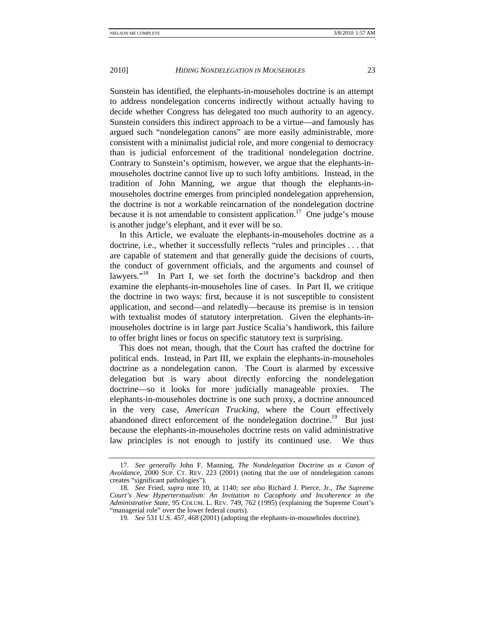Sunstein has identified, the elephants-in-mouseholes doctrine is an attempt to address nondelegation concerns indirectly without actually having to decide whether Congress has delegated too much authority to an agency. Sunstein considers this indirect approach to be a virtue—and famously has argued such "nondelegation canons" are more easily administrable, more consistent with a minimalist judicial role, and more congenial to democracy than is judicial enforcement of the traditional nondelegation doctrine. Contrary to Sunstein's optimism, however, we argue that the elephants-inmouseholes doctrine cannot live up to such lofty ambitions. Instead, in the tradition of John Manning, we argue that though the elephants-inmouseholes doctrine emerges from principled nondelegation apprehension, the doctrine is not a workable reincarnation of the nondelegation doctrine because it is not amendable to consistent application.<sup>17</sup> One judge's mouse is another judge's elephant, and it ever will be so.

In this Article, we evaluate the elephants-in-mouseholes doctrine as a doctrine, i.e., whether it successfully reflects "rules and principles . . . that are capable of statement and that generally guide the decisions of courts, the conduct of government officials, and the arguments and counsel of lawyers."<sup>18</sup> In Part I, we set forth the doctrine's backdrop and then examine the elephants-in-mouseholes line of cases. In Part II, we critique the doctrine in two ways: first, because it is not susceptible to consistent application, and second—and relatedly—because its premise is in tension with textualist modes of statutory interpretation. Given the elephants-inmouseholes doctrine is in large part Justice Scalia's handiwork, this failure to offer bright lines or focus on specific statutory text is surprising.

This does not mean, though, that the Court has crafted the doctrine for political ends. Instead, in Part III, we explain the elephants-in-mouseholes doctrine as a nondelegation canon. The Court is alarmed by excessive delegation but is wary about directly enforcing the nondelegation doctrine—so it looks for more judicially manageable proxies. The elephants-in-mouseholes doctrine is one such proxy, a doctrine announced in the very case, *American Trucking*, where the Court effectively abandoned direct enforcement of the nondelegation doctrine.<sup>19</sup> But just because the elephants-in-mouseholes doctrine rests on valid administrative law principles is not enough to justify its continued use. We thus

<sup>17</sup>*. See generally* John F. Manning, *The Nondelegation Doctrine as a Canon of Avoidance*, 2000 SUP. CT. REV. 223 (2001) (noting that the use of nondelegation canons creates "significant pathologies").

<sup>18</sup>*. See* Fried, *supra* note 10, at 1140; *see also* Richard J. Pierce, Jr., *The Supreme Court's New Hyperterxtualism: An Invitation to Cacophony and Incoherence in the Administrative State*, 95 COLUM. L. REV. 749, 762 (1995) (explaining the Supreme Court's "managerial role" over the lower federal courts).

<sup>19</sup>*. See* 531 U.S. 457, 468 (2001) (adopting the elephants-in-mouseholes doctrine).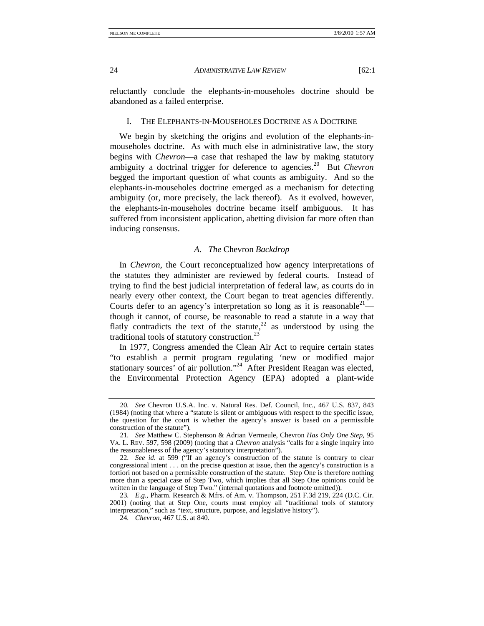reluctantly conclude the elephants-in-mouseholes doctrine should be abandoned as a failed enterprise.

#### I. THE ELEPHANTS-IN-MOUSEHOLES DOCTRINE AS A DOCTRINE

We begin by sketching the origins and evolution of the elephants-inmouseholes doctrine. As with much else in administrative law, the story begins with *Chevron*—a case that reshaped the law by making statutory ambiguity a doctrinal trigger for deference to agencies.20 But *Chevron* begged the important question of what counts as ambiguity. And so the elephants-in-mouseholes doctrine emerged as a mechanism for detecting ambiguity (or, more precisely, the lack thereof). As it evolved, however, the elephants-in-mouseholes doctrine became itself ambiguous. It has suffered from inconsistent application, abetting division far more often than inducing consensus.

#### *A. The* Chevron *Backdrop*

In *Chevron*, the Court reconceptualized how agency interpretations of the statutes they administer are reviewed by federal courts. Instead of trying to find the best judicial interpretation of federal law, as courts do in nearly every other context, the Court began to treat agencies differently. Courts defer to an agency's interpretation so long as it is reasonable<sup>21</sup> though it cannot, of course, be reasonable to read a statute in a way that flatly contradicts the text of the statute, $22$  as understood by using the traditional tools of statutory construction.23

In 1977, Congress amended the Clean Air Act to require certain states "to establish a permit program regulating 'new or modified major stationary sources' of air pollution."<sup>24</sup> After President Reagan was elected, the Environmental Protection Agency (EPA) adopted a plant-wide

<sup>20</sup>*. See* Chevron U.S.A. Inc. v. Natural Res. Def. Council, Inc., 467 U.S. 837, 843 (1984) (noting that where a "statute is silent or ambiguous with respect to the specific issue, the question for the court is whether the agency's answer is based on a permissible construction of the statute").

<sup>21</sup>*. See* Matthew C. Stephenson & Adrian Vermeule, Chevron *Has Only One Step*, 95 VA. L. REV. 597, 598 (2009) (noting that a *Chevron* analysis "calls for a single inquiry into the reasonableness of the agency's statutory interpretation").

<sup>22</sup>*. See id.* at 599 ("If an agency's construction of the statute is contrary to clear congressional intent . . . on the precise question at issue, then the agency's construction is a fortiori not based on a permissible construction of the statute. Step One is therefore nothing more than a special case of Step Two, which implies that all Step One opinions could be written in the language of Step Two." (internal quotations and footnote omitted)).

<sup>23</sup>*. E.g.*, Pharm. Research & Mfrs. of Am. v. Thompson, 251 F.3d 219, 224 (D.C. Cir. 2001) (noting that at Step One, courts must employ all "traditional tools of statutory interpretation," such as "text, structure, purpose, and legislative history").

<sup>24</sup>*. Chevron*, 467 U.S. at 840.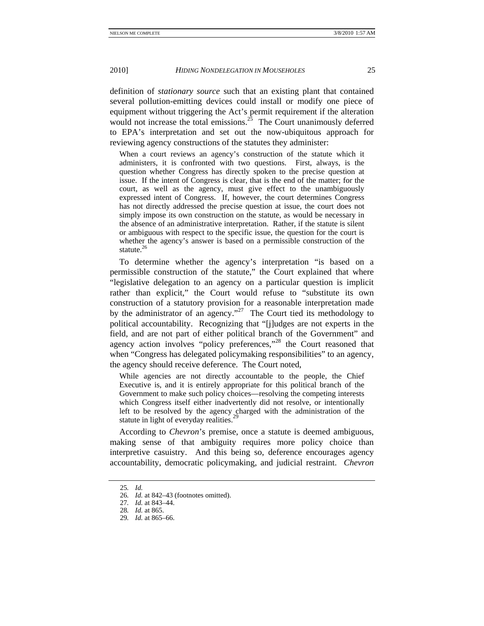definition of *stationary source* such that an existing plant that contained several pollution-emitting devices could install or modify one piece of equipment without triggering the Act's permit requirement if the alteration would not increase the total emissions.<sup>25</sup> The Court unanimously deferred to EPA's interpretation and set out the now-ubiquitous approach for reviewing agency constructions of the statutes they administer:

When a court reviews an agency's construction of the statute which it administers, it is confronted with two questions. First, always, is the question whether Congress has directly spoken to the precise question at issue. If the intent of Congress is clear, that is the end of the matter; for the court, as well as the agency, must give effect to the unambiguously expressed intent of Congress. If, however, the court determines Congress has not directly addressed the precise question at issue, the court does not simply impose its own construction on the statute, as would be necessary in the absence of an administrative interpretation. Rather, if the statute is silent or ambiguous with respect to the specific issue, the question for the court is whether the agency's answer is based on a permissible construction of the statute.<sup>26</sup>

To determine whether the agency's interpretation "is based on a permissible construction of the statute," the Court explained that where "legislative delegation to an agency on a particular question is implicit rather than explicit," the Court would refuse to "substitute its own construction of a statutory provision for a reasonable interpretation made by the administrator of an agency."<sup>27</sup> The Court tied its methodology to political accountability. Recognizing that "[j]udges are not experts in the field, and are not part of either political branch of the Government" and agency action involves "policy preferences,"<sup>28</sup> the Court reasoned that when "Congress has delegated policymaking responsibilities" to an agency, the agency should receive deference. The Court noted,

While agencies are not directly accountable to the people, the Chief Executive is, and it is entirely appropriate for this political branch of the Government to make such policy choices—resolving the competing interests which Congress itself either inadvertently did not resolve, or intentionally left to be resolved by the agency charged with the administration of the statute in light of everyday realities.<sup>2</sup>

According to *Chevron*'s premise, once a statute is deemed ambiguous, making sense of that ambiguity requires more policy choice than interpretive casuistry. And this being so, deference encourages agency accountability, democratic policymaking, and judicial restraint. *Chevron*

<sup>25</sup>*. Id.*

<sup>26</sup>*. Id.* at 842–43 (footnotes omitted).

<sup>27</sup>*. Id.* at 843–44.

<sup>28</sup>*. Id.* at 865.

<sup>29</sup>*. Id.* at 865–66.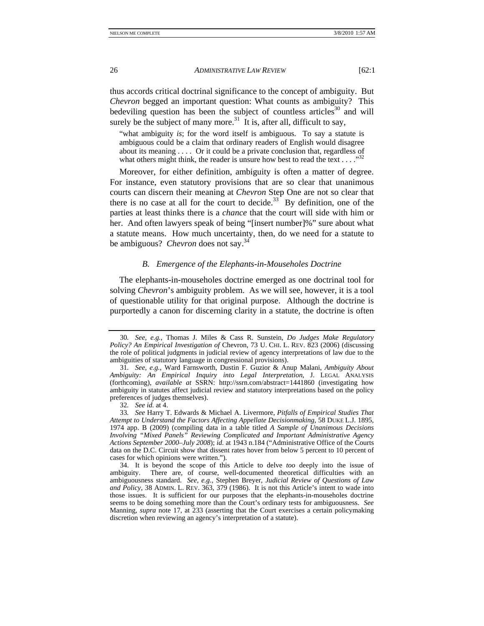thus accords critical doctrinal significance to the concept of ambiguity. But *Chevron* begged an important question: What counts as ambiguity? This bedeviling question has been the subject of countless articles<sup>30</sup> and will surely be the subject of many more.<sup>31</sup> It is, after all, difficult to say,

"what ambiguity *is*; for the word itself is ambiguous. To say a statute is ambiguous could be a claim that ordinary readers of English would disagree about its meaning . . . . Or it could be a private conclusion that, regardless of what others might think, the reader is unsure how best to read the text . . . . " $32$ 

Moreover, for either definition, ambiguity is often a matter of degree. For instance, even statutory provisions that are so clear that unanimous courts can discern their meaning at *Chevron* Step One are not so clear that there is no case at all for the court to decide.<sup>33</sup> By definition, one of the parties at least thinks there is a *chance* that the court will side with him or her. And often lawyers speak of being "[insert number]%" sure about what a statute means. How much uncertainty, then, do we need for a statute to be ambiguous? *Chevron* does not say.34

#### *B. Emergence of the Elephants-in-Mouseholes Doctrine*

The elephants-in-mouseholes doctrine emerged as one doctrinal tool for solving *Chevron*'s ambiguity problem. As we will see, however, it is a tool of questionable utility for that original purpose. Although the doctrine is purportedly a canon for discerning clarity in a statute, the doctrine is often

<sup>30</sup>*. See, e.g.*, Thomas J. Miles & Cass R. Sunstein, *Do Judges Make Regulatory Policy? An Empirical Investigation of* Chevron, 73 U. CHI. L. REV. 823 (2006) (discussing the role of political judgments in judicial review of agency interpretations of law due to the ambiguities of statutory language in congressional provisions).

<sup>31</sup>*. See, e.g.*, Ward Farnsworth, Dustin F. Guzior & Anup Malani, *Ambiguity About Ambiguity: An Empirical Inquiry into Legal Interpretation*, J. LEGAL ANALYSIS (forthcoming), *available at* SSRN: http://ssrn.com/abstract=1441860 (investigating how ambiguity in statutes affect judicial review and statutory interpretations based on the policy preferences of judges themselves).

<sup>32</sup>*. See id.* at 4.

<sup>33</sup>*. See* Harry T. Edwards & Michael A. Livermore, *Pitfalls of Empirical Studies That Attempt to Understand the Factors Affecting Appellate Decisionmaking*, 58 DUKE L.J. 1895, 1974 app. B (2009) (compiling data in a table titled *A Sample of Unanimous Decisions Involving "Mixed Panels" Reviewing Complicated and Important Administrative Agency Actions September 2000–July 2008*); *id.* at 1943 n.184 ("Administrative Office of the Courts data on the D.C. Circuit show that dissent rates hover from below 5 percent to 10 percent of cases for which opinions were written.").

 <sup>34.</sup> It is beyond the scope of this Article to delve *too* deeply into the issue of ambiguity. There are, of course, well-documented theoretical difficulties with an ambiguousness standard. *See, e.g.*, Stephen Breyer, *Judicial Review of Questions of Law and Policy*, 38 ADMIN. L. REV. 363, 379 (1986). It is not this Article's intent to wade into those issues. It is sufficient for our purposes that the elephants-in-mouseholes doctrine seems to be doing something more than the Court's ordinary tests for ambiguousness. *See* Manning, *supra* note 17, at 233 (asserting that the Court exercises a certain policymaking discretion when reviewing an agency's interpretation of a statute).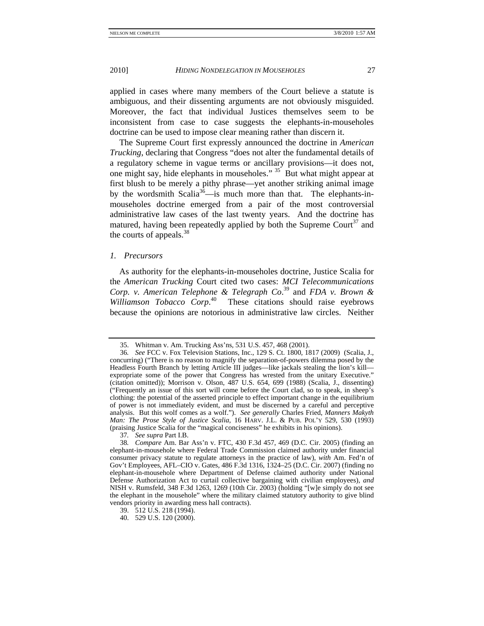applied in cases where many members of the Court believe a statute is ambiguous, and their dissenting arguments are not obviously misguided. Moreover, the fact that individual Justices themselves seem to be inconsistent from case to case suggests the elephants-in-mouseholes doctrine can be used to impose clear meaning rather than discern it.

The Supreme Court first expressly announced the doctrine in *American Trucking*, declaring that Congress "does not alter the fundamental details of a regulatory scheme in vague terms or ancillary provisions—it does not, one might say, hide elephants in mouseholes."  $35\overline{B}$  But what might appear at first blush to be merely a pithy phrase—yet another striking animal image by the wordsmith Scalia<sup>36</sup>—is much more than that. The elephants-inmouseholes doctrine emerged from a pair of the most controversial administrative law cases of the last twenty years. And the doctrine has matured, having been repeatedly applied by both the Supreme Court<sup>37</sup> and the courts of appeals. $38$ 

## *1. Precursors*

As authority for the elephants-in-mouseholes doctrine, Justice Scalia for the *American Trucking* Court cited two cases: *MCI Telecommunications Corp. v. American Telephone & Telegraph Co*. 39 and *FDA v. Brown & Williamson Tobacco Corp*. 40 These citations should raise eyebrows because the opinions are notorious in administrative law circles. Neither

37*. See supra* Part I.B.

 <sup>35.</sup> Whitman v. Am. Trucking Ass'ns, 531 U.S. 457, 468 (2001).

<sup>36</sup>*. See* FCC v. Fox Television Stations, Inc., 129 S. Ct. 1800, 1817 (2009) (Scalia, J., concurring) ("There is no reason to magnify the separation-of-powers dilemma posed by the Headless Fourth Branch by letting Article III judges—like jackals stealing the lion's kill expropriate some of the power that Congress has wrested from the unitary Executive." (citation omitted)); Morrison v. Olson, 487 U.S. 654, 699 (1988) (Scalia, J., dissenting) ("Frequently an issue of this sort will come before the Court clad, so to speak, in sheep's clothing: the potential of the asserted principle to effect important change in the equilibrium of power is not immediately evident, and must be discerned by a careful and perceptive analysis. But this wolf comes as a wolf."). *See generally* Charles Fried, *Manners Makyth Man: The Prose Style of Justice Scalia*, 16 HARV. J.L. & PUB. POL'Y 529, 530 (1993) (praising Justice Scalia for the "magical conciseness" he exhibits in his opinions).

<sup>38</sup>*. Compare* Am. Bar Ass'n v. FTC, 430 F.3d 457, 469 (D.C. Cir. 2005) (finding an elephant-in-mousehole where Federal Trade Commission claimed authority under financial consumer privacy statute to regulate attorneys in the practice of law), *with* Am. Fed'n of Gov't Employees, AFL–CIO v. Gates, 486 F.3d 1316, 1324–25 (D.C. Cir. 2007) (finding no elephant-in-mousehole where Department of Defense claimed authority under National Defense Authorization Act to curtail collective bargaining with civilian employees), *and*  NISH v. Rumsfeld, 348 F.3d 1263, 1269 (10th Cir. 2003) (holding "[w]e simply do not see the elephant in the mousehole" where the military claimed statutory authority to give blind vendors priority in awarding mess hall contracts).

 <sup>39. 512</sup> U.S. 218 (1994).

 <sup>40. 529</sup> U.S. 120 (2000).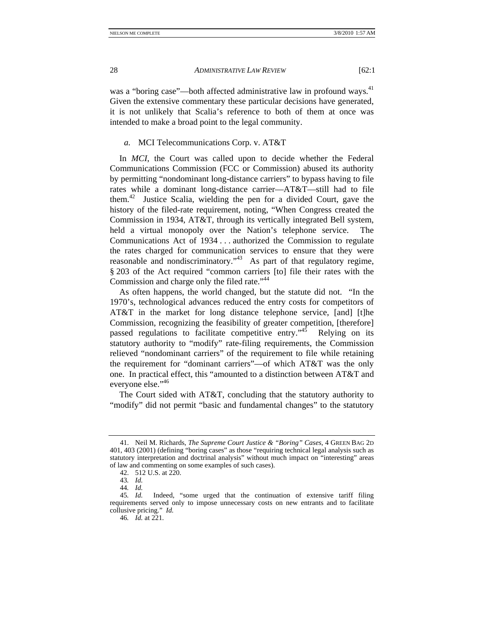was a "boring case"—both affected administrative law in profound ways.<sup>41</sup> Given the extensive commentary these particular decisions have generated, it is not unlikely that Scalia's reference to both of them at once was intended to make a broad point to the legal community.

## *a.* MCI Telecommunications Corp. v. AT&T

In *MCI*, the Court was called upon to decide whether the Federal Communications Commission (FCC or Commission) abused its authority by permitting "nondominant long-distance carriers" to bypass having to file rates while a dominant long-distance carrier—AT&T—still had to file them.<sup>42</sup> Justice Scalia, wielding the pen for a divided Court, gave the history of the filed-rate requirement, noting, "When Congress created the Commission in 1934, AT&T, through its vertically integrated Bell system, held a virtual monopoly over the Nation's telephone service. The Communications Act of 1934 . . . authorized the Commission to regulate the rates charged for communication services to ensure that they were reasonable and nondiscriminatory."<sup>43</sup> As part of that regulatory regime, § 203 of the Act required "common carriers [to] file their rates with the Commission and charge only the filed rate."<sup>44</sup>

As often happens, the world changed, but the statute did not. "In the 1970's, technological advances reduced the entry costs for competitors of AT&T in the market for long distance telephone service, [and] [t]he Commission, recognizing the feasibility of greater competition, [therefore] passed regulations to facilitate competitive entry.<sup> $1/45$ </sup> Relying on its statutory authority to "modify" rate-filing requirements, the Commission relieved "nondominant carriers" of the requirement to file while retaining the requirement for "dominant carriers"—of which AT&T was the only one. In practical effect, this "amounted to a distinction between AT&T and everyone else."46

The Court sided with AT&T, concluding that the statutory authority to "modify" did not permit "basic and fundamental changes" to the statutory

 <sup>41.</sup> Neil M. Richards, *The Supreme Court Justice & "Boring" Cases*, 4 GREEN BAG 2D 401, 403 (2001) (defining "boring cases" as those "requiring technical legal analysis such as statutory interpretation and doctrinal analysis" without much impact on "interesting" areas of law and commenting on some examples of such cases).

 <sup>42. 512</sup> U.S. at 220.

<sup>43</sup>*. Id.*

<sup>44</sup>*. Id.*

<sup>45</sup>*. Id.* Indeed, "some urged that the continuation of extensive tariff filing requirements served only to impose unnecessary costs on new entrants and to facilitate collusive pricing." *Id.*

<sup>46</sup>*. Id.* at 221.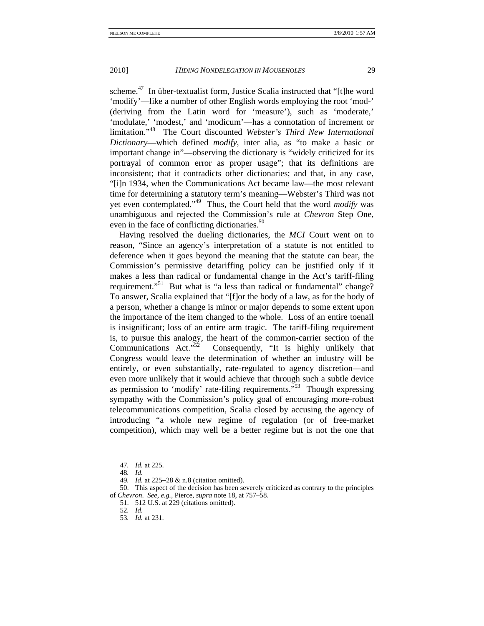scheme.<sup>47</sup> In über-textualist form, Justice Scalia instructed that "[t]he word 'modify'—like a number of other English words employing the root 'mod-' (deriving from the Latin word for 'measure'), such as 'moderate,' 'modulate,' 'modest,' and 'modicum'—has a connotation of increment or limitation."48 The Court discounted *Webster's Third New International Dictionary*—which defined *modify*, inter alia, as "to make a basic or important change in"—observing the dictionary is "widely criticized for its portrayal of common error as proper usage"; that its definitions are inconsistent; that it contradicts other dictionaries; and that, in any case, "[i]n 1934, when the Communications Act became law—the most relevant time for determining a statutory term's meaning—Webster's Third was not yet even contemplated."49 Thus, the Court held that the word *modify* was unambiguous and rejected the Commission's rule at *Chevron* Step One, even in the face of conflicting dictionaries. $50$ 

Having resolved the dueling dictionaries, the *MCI* Court went on to reason, "Since an agency's interpretation of a statute is not entitled to deference when it goes beyond the meaning that the statute can bear, the Commission's permissive detariffing policy can be justified only if it makes a less than radical or fundamental change in the Act's tariff-filing requirement."<sup>51</sup> But what is "a less than radical or fundamental" change? To answer, Scalia explained that "[f]or the body of a law, as for the body of a person, whether a change is minor or major depends to some extent upon the importance of the item changed to the whole. Loss of an entire toenail is insignificant; loss of an entire arm tragic. The tariff-filing requirement is, to pursue this analogy, the heart of the common-carrier section of the Communications Act."<sup>52</sup> Consequently, "It is highly unlikely that Congress would leave the determination of whether an industry will be entirely, or even substantially, rate-regulated to agency discretion—and even more unlikely that it would achieve that through such a subtle device as permission to 'modify' rate-filing requirements.<sup>55</sup> Though expressing sympathy with the Commission's policy goal of encouraging more-robust telecommunications competition, Scalia closed by accusing the agency of introducing "a whole new regime of regulation (or of free-market competition), which may well be a better regime but is not the one that

<sup>47</sup>*. Id.* at 225.

<sup>48</sup>*. Id.* 

<sup>49</sup>*. Id.* at 225−28 & n.8 (citation omitted).

 <sup>50.</sup> This aspect of the decision has been severely criticized as contrary to the principles of *Chevron*. *See, e.g.*, Pierce, *supra* note 18, at 757–58.

 <sup>51. 512</sup> U.S. at 229 (citations omitted).

<sup>52</sup>*. Id.*

<sup>53</sup>*. Id.* at 231.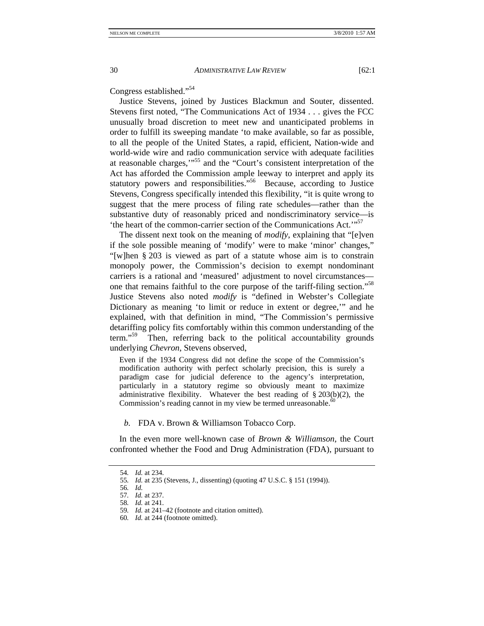Congress established."54

Justice Stevens, joined by Justices Blackmun and Souter, dissented. Stevens first noted, "The Communications Act of 1934 . . . gives the FCC unusually broad discretion to meet new and unanticipated problems in order to fulfill its sweeping mandate 'to make available, so far as possible, to all the people of the United States, a rapid, efficient, Nation-wide and world-wide wire and radio communication service with adequate facilities at reasonable charges,'"55 and the "Court's consistent interpretation of the Act has afforded the Commission ample leeway to interpret and apply its statutory powers and responsibilities."56 Because, according to Justice Stevens, Congress specifically intended this flexibility, "it is quite wrong to suggest that the mere process of filing rate schedules—rather than the substantive duty of reasonably priced and nondiscriminatory service—is 'the heart of the common-carrier section of the Communications Act.'"57

The dissent next took on the meaning of *modify*, explaining that "[e]ven if the sole possible meaning of 'modify' were to make 'minor' changes," "[w]hen § 203 is viewed as part of a statute whose aim is to constrain monopoly power, the Commission's decision to exempt nondominant carriers is a rational and 'measured' adjustment to novel circumstances one that remains faithful to the core purpose of the tariff-filing section."58 Justice Stevens also noted *modify* is "defined in Webster's Collegiate Dictionary as meaning 'to limit or reduce in extent or degree,'" and he explained, with that definition in mind, "The Commission's permissive detariffing policy fits comfortably within this common understanding of the term."<sup>59</sup> Then, referring back to the political accountability grounds underlying *Chevron*, Stevens observed,

Even if the 1934 Congress did not define the scope of the Commission's modification authority with perfect scholarly precision, this is surely a paradigm case for judicial deference to the agency's interpretation, particularly in a statutory regime so obviously meant to maximize administrative flexibility. Whatever the best reading of § 203(b)(2), the Commission's reading cannot in my view be termed unreasonable.<sup>60</sup>

*b.* FDA v. Brown & Williamson Tobacco Corp.

In the even more well-known case of *Brown & Williamson*, the Court confronted whether the Food and Drug Administration (FDA), pursuant to

<sup>54</sup>*. Id.* at 234.

<sup>55</sup>*. Id.* at 235 (Stevens, J., dissenting) (quoting 47 U.S.C. § 151 (1994)).

<sup>56</sup>*. Id.*

<sup>57</sup>*. Id.* at 237.

<sup>58</sup>*. Id.* at 241.

<sup>59</sup>*. Id.* at 241–42 (footnote and citation omitted).

<sup>60</sup>*. Id.* at 244 (footnote omitted).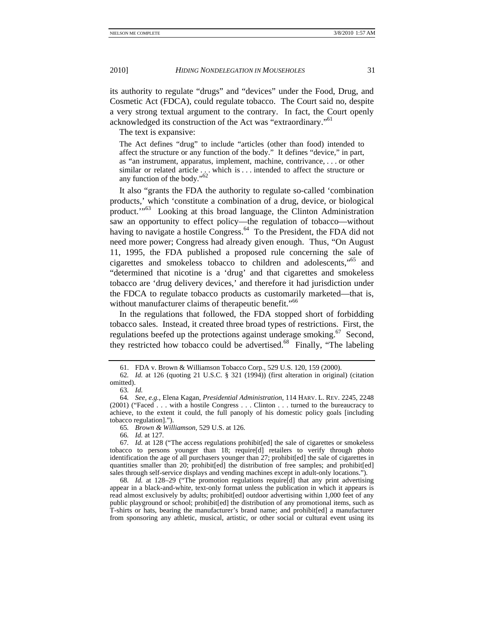its authority to regulate "drugs" and "devices" under the Food, Drug, and Cosmetic Act (FDCA), could regulate tobacco. The Court said no, despite a very strong textual argument to the contrary. In fact, the Court openly acknowledged its construction of the Act was "extraordinary."61

The text is expansive:

The Act defines "drug" to include "articles (other than food) intended to affect the structure or any function of the body." It defines "device," in part, as "an instrument, apparatus, implement, machine, contrivance, . . . or other similar or related article  $\ldots$  which is  $\ldots$  intended to affect the structure or any function of the body."<sup>62</sup>

It also "grants the FDA the authority to regulate so-called 'combination products,' which 'constitute a combination of a drug, device, or biological product.'"63 Looking at this broad language, the Clinton Administration saw an opportunity to effect policy—the regulation of tobacco—without having to navigate a hostile Congress.<sup>64</sup> To the President, the FDA did not need more power; Congress had already given enough. Thus, "On August 11, 1995, the FDA published a proposed rule concerning the sale of cigarettes and smokeless tobacco to children and adolescents,"65 and "determined that nicotine is a 'drug' and that cigarettes and smokeless tobacco are 'drug delivery devices,' and therefore it had jurisdiction under the FDCA to regulate tobacco products as customarily marketed—that is, without manufacturer claims of therapeutic benefit."<sup>66</sup>

In the regulations that followed, the FDA stopped short of forbidding tobacco sales. Instead, it created three broad types of restrictions. First, the regulations beefed up the protections against underage smoking.<sup>67</sup> Second, they restricted how tobacco could be advertised.68 Finally, "The labeling

65*. Brown & Williamson*, 529 U.S. at 126.

66*. Id.* at 127.

67*. Id.* at 128 ("The access regulations prohibit[ed] the sale of cigarettes or smokeless tobacco to persons younger than 18; require[d] retailers to verify through photo identification the age of all purchasers younger than 27; prohibit[ed] the sale of cigarettes in quantities smaller than 20; prohibit[ed] the distribution of free samples; and prohibit[ed] sales through self-service displays and vending machines except in adult-only locations.").

68*. Id.* at 128–29 ("The promotion regulations require[d] that any print advertising appear in a black-and-white, text-only format unless the publication in which it appears is read almost exclusively by adults; prohibit[ed] outdoor advertising within 1,000 feet of any public playground or school; prohibit[ed] the distribution of any promotional items, such as T-shirts or hats, bearing the manufacturer's brand name; and prohibit[ed] a manufacturer from sponsoring any athletic, musical, artistic, or other social or cultural event using its

 <sup>61.</sup> FDA v. Brown & Williamson Tobacco Corp., 529 U.S. 120, 159 (2000).

<sup>62</sup>*. Id.* at 126 (quoting 21 U.S.C. § 321 (1994)) (first alteration in original) (citation omitted).

<sup>63</sup>*. Id.*

<sup>64</sup>*. See, e.g.*, Elena Kagan, *Presidential Administration*, 114 HARV. L. REV. 2245, 2248 (2001) ("Faced . . . with a hostile Congress . . . Clinton . . . turned to the bureaucracy to achieve, to the extent it could, the full panoply of his domestic policy goals [including tobacco regulation].").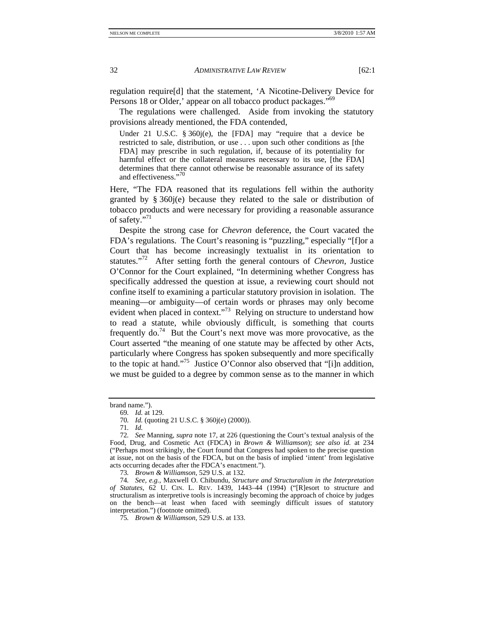regulation require[d] that the statement, 'A Nicotine-Delivery Device for Persons 18 or Older,' appear on all tobacco product packages."<sup>69</sup>

The regulations were challenged. Aside from invoking the statutory provisions already mentioned, the FDA contended,

Under 21 U.S.C. § 360j(e), the [FDA] may "require that a device be restricted to sale, distribution, or use . . . upon such other conditions as [the FDA] may prescribe in such regulation, if, because of its potentiality for harmful effect or the collateral measures necessary to its use, [the FDA] determines that there cannot otherwise be reasonable assurance of its safety and effectiveness."<sup>70</sup>

Here, "The FDA reasoned that its regulations fell within the authority granted by § 360j(e) because they related to the sale or distribution of tobacco products and were necessary for providing a reasonable assurance of safety."<sup>71</sup>

Despite the strong case for *Chevron* deference, the Court vacated the FDA's regulations. The Court's reasoning is "puzzling," especially "[f]or a Court that has become increasingly textualist in its orientation to statutes."72 After setting forth the general contours of *Chevron*, Justice O'Connor for the Court explained, "In determining whether Congress has specifically addressed the question at issue, a reviewing court should not confine itself to examining a particular statutory provision in isolation. The meaning—or ambiguity—of certain words or phrases may only become evident when placed in context."<sup>73</sup> Relying on structure to understand how to read a statute, while obviously difficult, is something that courts frequently  $\omega$ <sup>74</sup> But the Court's next move was more provocative, as the Court asserted "the meaning of one statute may be affected by other Acts, particularly where Congress has spoken subsequently and more specifically to the topic at hand."75 Justice O'Connor also observed that "[i]n addition, we must be guided to a degree by common sense as to the manner in which

73*. Brown & Williamson*, 529 U.S. at 132.

74*. See, e.g.*, Maxwell O. Chibundu, *Structure and Structuralism in the Interpretation of Statutes*, 62 U. CIN. L. REV. 1439, 1443–44 (1994) ("[R]esort to structure and structuralism as interpretive tools is increasingly becoming the approach of choice by judges on the bench—at least when faced with seemingly difficult issues of statutory interpretation.") (footnote omitted).

75*. Brown & Williamson*, 529 U.S. at 133.

brand name.").

<sup>69</sup>*. Id.* at 129.

<sup>70</sup>*. Id.* (quoting 21 U.S.C. § 360j(e) (2000)).

<sup>71</sup>*. Id.*

<sup>72</sup>*. See* Manning, *supra* note 17, at 226 (questioning the Court's textual analysis of the Food, Drug, and Cosmetic Act (FDCA) in *Brown & Williamson*); *see also id.* at 234 ("Perhaps most strikingly, the Court found that Congress had spoken to the precise question at issue, not on the basis of the FDCA, but on the basis of implied 'intent' from legislative acts occurring decades after the FDCA's enactment.").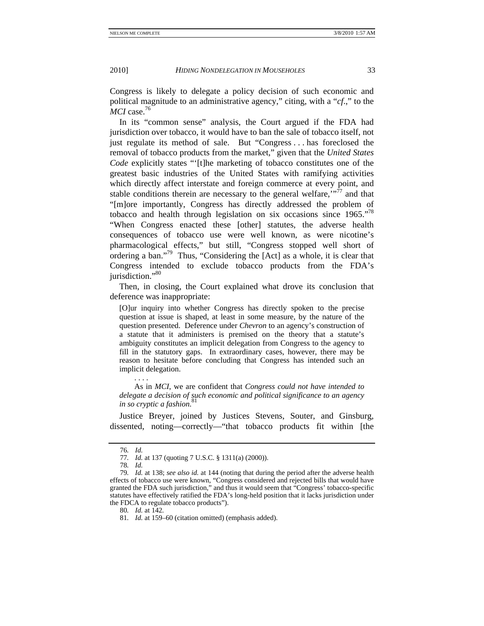Congress is likely to delegate a policy decision of such economic and political magnitude to an administrative agency," citing, with a "*cf*.," to the MCI case.<sup>76</sup>

In its "common sense" analysis, the Court argued if the FDA had jurisdiction over tobacco, it would have to ban the sale of tobacco itself, not just regulate its method of sale. But "Congress . . . has foreclosed the removal of tobacco products from the market," given that the *United States Code* explicitly states "'[t]he marketing of tobacco constitutes one of the greatest basic industries of the United States with ramifying activities which directly affect interstate and foreign commerce at every point, and stable conditions therein are necessary to the general welfare.<sup> $\cdot$ "77</sup> and that "[m]ore importantly, Congress has directly addressed the problem of tobacco and health through legislation on six occasions since 1965."78 "When Congress enacted these [other] statutes, the adverse health consequences of tobacco use were well known, as were nicotine's pharmacological effects," but still, "Congress stopped well short of ordering a ban."79 Thus, "Considering the [Act] as a whole, it is clear that Congress intended to exclude tobacco products from the FDA's jurisdiction."<sup>80</sup>

Then, in closing, the Court explained what drove its conclusion that deference was inappropriate:

[O]ur inquiry into whether Congress has directly spoken to the precise question at issue is shaped, at least in some measure, by the nature of the question presented. Deference under *Chevron* to an agency's construction of a statute that it administers is premised on the theory that a statute's ambiguity constitutes an implicit delegation from Congress to the agency to fill in the statutory gaps. In extraordinary cases, however, there may be reason to hesitate before concluding that Congress has intended such an implicit delegation.

 As in *MCI*, we are confident that *Congress could not have intended to delegate a decision of such economic and political significance to an agency in so cryptic a fashion*. 81

Justice Breyer, joined by Justices Stevens, Souter, and Ginsburg, dissented, noting—correctly—"that tobacco products fit within [the

. . . . . . .

<sup>76</sup>*. Id.*

<sup>77</sup>*. Id.* at 137 (quoting 7 U.S.C. § 1311(a) (2000)).

<sup>78</sup>*. Id.*

<sup>79</sup>*. Id.* at 138; *see also id.* at 144 (noting that during the period after the adverse health effects of tobacco use were known, "Congress considered and rejected bills that would have granted the FDA such jurisdiction," and thus it would seem that "Congress' tobacco-specific statutes have effectively ratified the FDA's long-held position that it lacks jurisdiction under the FDCA to regulate tobacco products").

<sup>80</sup>*. Id.* at 142.

<sup>81</sup>*. Id.* at 159–60 (citation omitted) (emphasis added).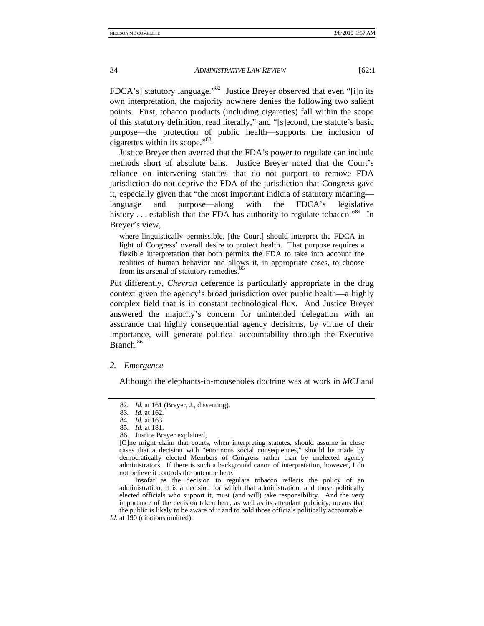FDCA's] statutory language."<sup>82</sup> Justice Breyer observed that even "[i]n its own interpretation, the majority nowhere denies the following two salient points. First, tobacco products (including cigarettes) fall within the scope of this statutory definition, read literally," and "[s]econd, the statute's basic purpose—the protection of public health—supports the inclusion of cigarettes within its scope."83

Justice Breyer then averred that the FDA's power to regulate can include methods short of absolute bans. Justice Breyer noted that the Court's reliance on intervening statutes that do not purport to remove FDA jurisdiction do not deprive the FDA of the jurisdiction that Congress gave it, especially given that "the most important indicia of statutory meaning language and purpose—along with the FDCA's legislative history  $\ldots$  establish that the FDA has authority to regulate tobacco."<sup>84</sup> In Breyer's view,

where linguistically permissible, [the Court] should interpret the FDCA in light of Congress' overall desire to protect health. That purpose requires a flexible interpretation that both permits the FDA to take into account the realities of human behavior and allows it, in appropriate cases, to choose from its arsenal of statutory remedies.<sup>85</sup>

Put differently, *Chevron* deference is particularly appropriate in the drug context given the agency's broad jurisdiction over public health—a highly complex field that is in constant technological flux. And Justice Breyer answered the majority's concern for unintended delegation with an assurance that highly consequential agency decisions, by virtue of their importance, will generate political accountability through the Executive Branch.<sup>86</sup>

#### *2. Emergence*

Although the elephants-in-mouseholes doctrine was at work in *MCI* and

86. Justice Breyer explained,

 Insofar as the decision to regulate tobacco reflects the policy of an administration, it is a decision for which that administration, and those politically elected officials who support it, must (and will) take responsibility. And the very importance of the decision taken here, as well as its attendant publicity, means that the public is likely to be aware of it and to hold those officials politically accountable.

<sup>82</sup>*. Id.* at 161 (Breyer, J., dissenting).

<sup>83</sup>*. Id.* at 162.

<sup>84</sup>*. Id.* at 163.

<sup>85</sup>*. Id.* at 181.

<sup>[</sup>O]ne might claim that courts, when interpreting statutes, should assume in close cases that a decision with "enormous social consequences," should be made by democratically elected Members of Congress rather than by unelected agency administrators. If there is such a background canon of interpretation, however, I do not believe it controls the outcome here.

Id. at 190 (citations omitted).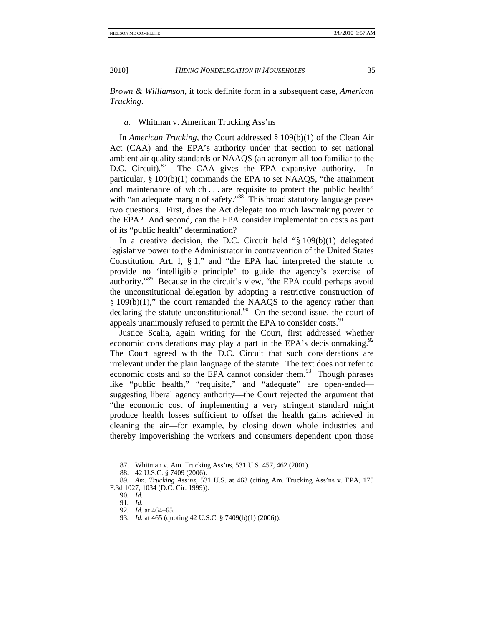*Brown & Williamson*, it took definite form in a subsequent case, *American Trucking*.

## *a.* Whitman v. American Trucking Ass'ns

In *American Trucking*, the Court addressed § 109(b)(1) of the Clean Air Act (CAA) and the EPA's authority under that section to set national ambient air quality standards or NAAQS (an acronym all too familiar to the D.C. Circuit). $87$  The CAA gives the EPA expansive authority. In particular, § 109(b)(1) commands the EPA to set NAAQS, "the attainment and maintenance of which . . . are requisite to protect the public health" with "an adequate margin of safety."<sup>88</sup> This broad statutory language poses two questions. First, does the Act delegate too much lawmaking power to the EPA? And second, can the EPA consider implementation costs as part of its "public health" determination?

In a creative decision, the D.C. Circuit held " $\S$  109(b)(1) delegated legislative power to the Administrator in contravention of the United States Constitution, Art. I,  $\S 1$ ," and "the EPA had interpreted the statute to provide no 'intelligible principle' to guide the agency's exercise of authority."89 Because in the circuit's view, "the EPA could perhaps avoid the unconstitutional delegation by adopting a restrictive construction of § 109(b)(1)," the court remanded the NAAQS to the agency rather than declaring the statute unconstitutional. $90$  On the second issue, the court of appeals unanimously refused to permit the EPA to consider costs.<sup>91</sup>

Justice Scalia, again writing for the Court, first addressed whether economic considerations may play a part in the EPA's decision making.<sup>92</sup> The Court agreed with the D.C. Circuit that such considerations are irrelevant under the plain language of the statute. The text does not refer to economic costs and so the EPA cannot consider them. $93$  Though phrases like "public health," "requisite," and "adequate" are open-ended suggesting liberal agency authority—the Court rejected the argument that "the economic cost of implementing a very stringent standard might produce health losses sufficient to offset the health gains achieved in cleaning the air—for example, by closing down whole industries and thereby impoverishing the workers and consumers dependent upon those

 <sup>87.</sup> Whitman v. Am. Trucking Ass'ns, 531 U.S. 457, 462 (2001).

 <sup>88. 42</sup> U.S.C. § 7409 (2006).

<sup>89</sup>*. Am. Trucking Ass'ns*, 531 U.S. at 463 (citing Am. Trucking Ass'ns v. EPA, 175 F.3d 1027, 1034 (D.C. Cir. 1999)).

<sup>90</sup>*. Id.*

<sup>91</sup>*. Id.*

<sup>92</sup>*. Id.* at 464–65.

<sup>93</sup>*. Id.* at 465 (quoting 42 U.S.C. § 7409(b)(1) (2006)).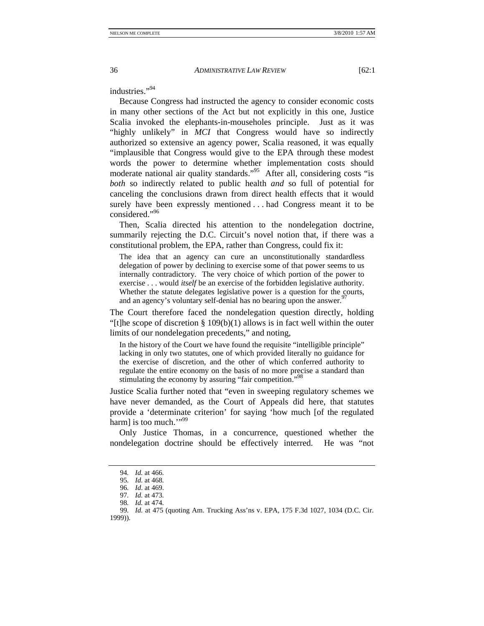industries<sup>"94</sup>

Because Congress had instructed the agency to consider economic costs in many other sections of the Act but not explicitly in this one, Justice Scalia invoked the elephants-in-mouseholes principle. Just as it was "highly unlikely" in *MCI* that Congress would have so indirectly authorized so extensive an agency power, Scalia reasoned, it was equally "implausible that Congress would give to the EPA through these modest words the power to determine whether implementation costs should moderate national air quality standards."<sup>95</sup> After all, considering costs "is *both* so indirectly related to public health *and* so full of potential for canceling the conclusions drawn from direct health effects that it would surely have been expressly mentioned . . . had Congress meant it to be considered."96

Then, Scalia directed his attention to the nondelegation doctrine, summarily rejecting the D.C. Circuit's novel notion that, if there was a constitutional problem, the EPA, rather than Congress, could fix it:

The idea that an agency can cure an unconstitutionally standardless delegation of power by declining to exercise some of that power seems to us internally contradictory. The very choice of which portion of the power to exercise . . . would *itself* be an exercise of the forbidden legislative authority. Whether the statute delegates legislative power is a question for the courts, and an agency's voluntary self-denial has no bearing upon the answer.<sup>9</sup>

The Court therefore faced the nondelegation question directly, holding "[t]he scope of discretion  $\S 109(b)(1)$  allows is in fact well within the outer limits of our nondelegation precedents," and noting,

In the history of the Court we have found the requisite "intelligible principle" lacking in only two statutes, one of which provided literally no guidance for the exercise of discretion, and the other of which conferred authority to regulate the entire economy on the basis of no more precise a standard than stimulating the economy by assuring "fair competition."<sup>98</sup>

Justice Scalia further noted that "even in sweeping regulatory schemes we have never demanded, as the Court of Appeals did here, that statutes provide a 'determinate criterion' for saying 'how much [of the regulated harm] is too much." $\cdot$ <sup>99</sup>

Only Justice Thomas, in a concurrence, questioned whether the nondelegation doctrine should be effectively interred. He was "not

<sup>94</sup>*. Id.* at 466.

<sup>95</sup>*. Id.* at 468.

<sup>96</sup>*. Id*. at 469.

<sup>97</sup>*. Id.* at 473.

<sup>98</sup>*. Id.* at 474.

<sup>99</sup>*. Id.* at 475 (quoting Am. Trucking Ass'ns v. EPA, 175 F.3d 1027, 1034 (D.C. Cir. 1999)).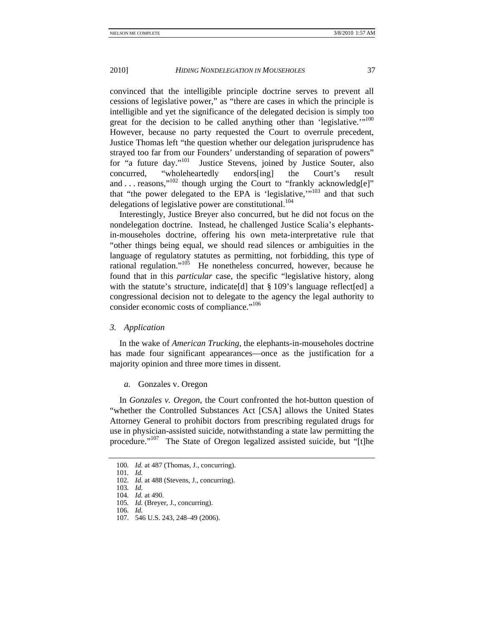convinced that the intelligible principle doctrine serves to prevent all cessions of legislative power," as "there are cases in which the principle is intelligible and yet the significance of the delegated decision is simply too great for the decision to be called anything other than 'legislative.'"<sup>100</sup> However, because no party requested the Court to overrule precedent, Justice Thomas left "the question whether our delegation jurisprudence has strayed too far from our Founders' understanding of separation of powers"<br>for "a future day."<sup>101</sup> Justice Stevens, joined by Justice Souter, also Justice Stevens, joined by Justice Souter, also concurred, "wholeheartedly endors[ing] the Court's result and  $\ldots$  reasons,"<sup>102</sup> though urging the Court to "frankly acknowledg[e]" that "the power delegated to the EPA is 'legislative,"<sup>103</sup> and that such delegations of legislative power are constitutional.<sup>104</sup>

Interestingly, Justice Breyer also concurred, but he did not focus on the nondelegation doctrine. Instead, he challenged Justice Scalia's elephantsin-mouseholes doctrine, offering his own meta-interpretative rule that "other things being equal, we should read silences or ambiguities in the language of regulatory statutes as permitting, not forbidding, this type of rational regulation."105 He nonetheless concurred, however, because he found that in this *particular* case, the specific "legislative history, along with the statute's structure, indicate [d] that § 109's language reflect [ed] a congressional decision not to delegate to the agency the legal authority to consider economic costs of compliance."106

#### *3. Application*

In the wake of *American Trucking*, the elephants-in-mouseholes doctrine has made four significant appearances—once as the justification for a majority opinion and three more times in dissent.

## *a.* Gonzales v. Oregon

In *Gonzales v. Oregon*, the Court confronted the hot-button question of "whether the Controlled Substances Act [CSA] allows the United States Attorney General to prohibit doctors from prescribing regulated drugs for use in physician-assisted suicide, notwithstanding a state law permitting the procedure."107 The State of Oregon legalized assisted suicide, but "[t]he

107. 546 U.S. 243, 248–49 (2006).

<sup>100</sup>*. Id.* at 487 (Thomas, J., concurring).

<sup>101</sup>*. Id.*

<sup>102</sup>*. Id.* at 488 (Stevens, J., concurring).

<sup>103</sup>*. Id.*

<sup>104</sup>*. Id.* at 490.

<sup>105</sup>*. Id.* (Breyer, J., concurring).

<sup>106</sup>*. Id.*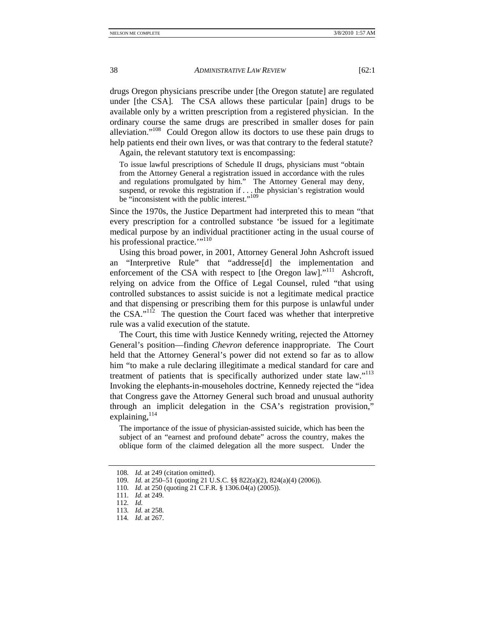drugs Oregon physicians prescribe under [the Oregon statute] are regulated under [the CSA]. The CSA allows these particular [pain] drugs to be available only by a written prescription from a registered physician. In the ordinary course the same drugs are prescribed in smaller doses for pain alleviation."108 Could Oregon allow its doctors to use these pain drugs to help patients end their own lives, or was that contrary to the federal statute?

Again, the relevant statutory text is encompassing:

To issue lawful prescriptions of Schedule II drugs, physicians must "obtain from the Attorney General a registration issued in accordance with the rules and regulations promulgated by him." The Attorney General may deny, suspend, or revoke this registration if  $\ldots$ , the physician's registration would be "inconsistent with the public interest."<sup>109</sup>

Since the 1970s, the Justice Department had interpreted this to mean "that every prescription for a controlled substance 'be issued for a legitimate medical purpose by an individual practitioner acting in the usual course of his professional practice."<sup>110</sup>

Using this broad power, in 2001, Attorney General John Ashcroft issued an "Interpretive Rule" that "addresse[d] the implementation and enforcement of the CSA with respect to [the Oregon law]."<sup>111</sup> Ashcroft, relying on advice from the Office of Legal Counsel, ruled "that using controlled substances to assist suicide is not a legitimate medical practice and that dispensing or prescribing them for this purpose is unlawful under the CSA."<sup>112</sup> The question the Court faced was whether that interpretive rule was a valid execution of the statute.

The Court, this time with Justice Kennedy writing, rejected the Attorney General's position—finding *Chevron* deference inappropriate. The Court held that the Attorney General's power did not extend so far as to allow him "to make a rule declaring illegitimate a medical standard for care and treatment of patients that is specifically authorized under state law."<sup>113</sup> Invoking the elephants-in-mouseholes doctrine, Kennedy rejected the "idea that Congress gave the Attorney General such broad and unusual authority through an implicit delegation in the CSA's registration provision," explaining, 114

The importance of the issue of physician-assisted suicide, which has been the subject of an "earnest and profound debate" across the country, makes the oblique form of the claimed delegation all the more suspect. Under the

<sup>108</sup>*. Id.* at 249 (citation omitted).

<sup>109</sup>*. Id.* at 250–51 (quoting 21 U.S.C. §§ 822(a)(2), 824(a)(4) (2006)).

<sup>110</sup>*. Id.* at 250 (quoting 21 C.F.R. § 1306.04(a) (2005)).

<sup>111</sup>*. Id.* at 249.

<sup>112</sup>*. Id.* 

<sup>113</sup>*. Id.* at 258.

<sup>114</sup>*. Id*. at 267.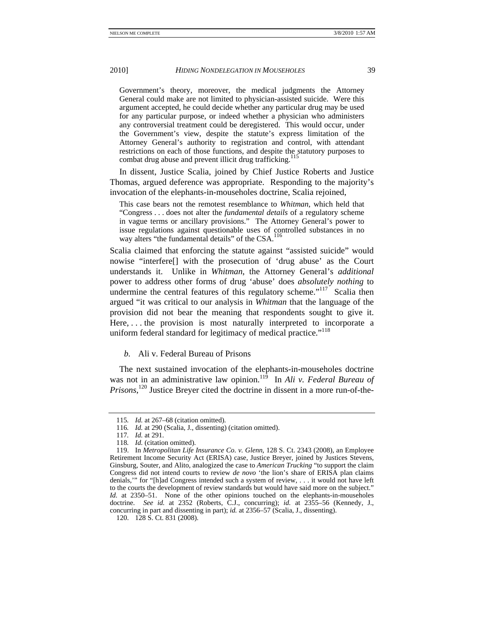Government's theory, moreover, the medical judgments the Attorney General could make are not limited to physician-assisted suicide. Were this argument accepted, he could decide whether any particular drug may be used for any particular purpose, or indeed whether a physician who administers any controversial treatment could be deregistered. This would occur, under the Government's view, despite the statute's express limitation of the Attorney General's authority to registration and control, with attendant restrictions on each of those functions, and despite the statutory purposes to combat drug abuse and prevent illicit drug trafficking.<sup>115</sup>

In dissent, Justice Scalia, joined by Chief Justice Roberts and Justice Thomas, argued deference was appropriate. Responding to the majority's invocation of the elephants-in-mouseholes doctrine, Scalia rejoined,

This case bears not the remotest resemblance to *Whitman*, which held that "Congress . . . does not alter the *fundamental details* of a regulatory scheme in vague terms or ancillary provisions." The Attorney General's power to issue regulations against questionable uses of controlled substances in no way alters "the fundamental details" of the CSA.<sup>116</sup>

Scalia claimed that enforcing the statute against "assisted suicide" would nowise "interfere[] with the prosecution of 'drug abuse' as the Court understands it. Unlike in *Whitman*, the Attorney General's *additional* power to address other forms of drug 'abuse' does *absolutely nothing* to undermine the central features of this regulatory scheme."<sup>117</sup> Scalia then argued "it was critical to our analysis in *Whitman* that the language of the provision did not bear the meaning that respondents sought to give it. Here, ... the provision is most naturally interpreted to incorporate a uniform federal standard for legitimacy of medical practice."<sup>118</sup>

## *b.* Ali v. Federal Bureau of Prisons

The next sustained invocation of the elephants-in-mouseholes doctrine was not in an administrative law opinion.<sup>119</sup> In *Ali v. Federal Bureau of Prisons*, 120 Justice Breyer cited the doctrine in dissent in a more run-of-the-

<sup>115</sup>*. Id.* at 267–68 (citation omitted).

<sup>116</sup>*. Id.* at 290 (Scalia, J., dissenting) (citation omitted).

<sup>117</sup>*. Id.* at 291.

<sup>118</sup>*. Id.* (citation omitted).

 <sup>119.</sup> In *Metropolitan Life Insurance Co. v. Glenn*, 128 S. Ct. 2343 (2008), an Employee Retirement Income Security Act (ERISA) case, Justice Breyer, joined by Justices Stevens, Ginsburg, Souter, and Alito, analogized the case to *American Trucking* "to support the claim Congress did not intend courts to review *de novo* 'the lion's share of ERISA plan claims denials,'" for "[h]ad Congress intended such a system of review, . . . it would not have left to the courts the development of review standards but would have said more on the subject." *Id.* at 2350–51. None of the other opinions touched on the elephants-in-mouseholes doctrine. *See id.* at 2352 (Roberts, C.J., concurring); *id.* at 2355–56 (Kennedy, J., concurring in part and dissenting in part); *id.* at 2356–57 (Scalia, J., dissenting).

 <sup>120. 128</sup> S. Ct. 831 (2008).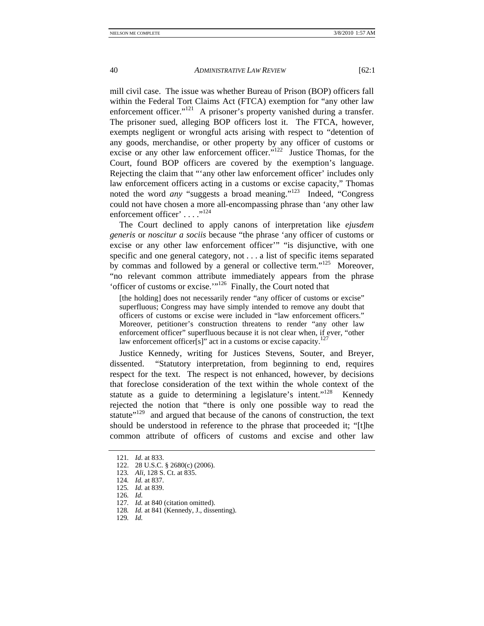mill civil case. The issue was whether Bureau of Prison (BOP) officers fall within the Federal Tort Claims Act (FTCA) exemption for "any other law enforcement officer."<sup>121</sup> A prisoner's property vanished during a transfer. The prisoner sued, alleging BOP officers lost it. The FTCA, however, exempts negligent or wrongful acts arising with respect to "detention of any goods, merchandise, or other property by any officer of customs or excise or any other law enforcement officer."<sup>122</sup> Justice Thomas, for the Court, found BOP officers are covered by the exemption's language. Rejecting the claim that "'any other law enforcement officer' includes only law enforcement officers acting in a customs or excise capacity," Thomas noted the word *any* "suggests a broad meaning."<sup>123</sup> Indeed, "Congress" could not have chosen a more all-encompassing phrase than 'any other law enforcement officer' . . . . .<sup>124</sup>

The Court declined to apply canons of interpretation like *ejusdem generis* or *noscitur a sociis* because "the phrase 'any officer of customs or excise or any other law enforcement officer'" "is disjunctive, with one specific and one general category, not . . . a list of specific items separated by commas and followed by a general or collective term."125 Moreover, "no relevant common attribute immediately appears from the phrase 'officer of customs or excise.'"126 Finally, the Court noted that

[the holding] does not necessarily render "any officer of customs or excise" superfluous; Congress may have simply intended to remove any doubt that officers of customs or excise were included in "law enforcement officers." Moreover, petitioner's construction threatens to render "any other law enforcement officer" superfluous because it is not clear when, if ever, "other law enforcement officer[s]" act in a customs or excise capacity.<sup>127</sup>

Justice Kennedy, writing for Justices Stevens, Souter, and Breyer, dissented. "Statutory interpretation, from beginning to end, requires respect for the text. The respect is not enhanced, however, by decisions that foreclose consideration of the text within the whole context of the statute as a guide to determining a legislature's intent."<sup>128</sup> Kennedy rejected the notion that "there is only one possible way to read the statute"<sup>129</sup> and argued that because of the canons of construction, the text should be understood in reference to the phrase that proceeded it; "[t]he common attribute of officers of customs and excise and other law

126*. Id.*

- 128*. Id.* at 841 (Kennedy, J., dissenting).
- 129*. Id.*

<sup>121</sup>*. Id*. at 833.

 <sup>122. 28</sup> U.S.C. § 2680(c) (2006).

<sup>123</sup>*. Ali*, 128 S. Ct. at 835.

<sup>124</sup>*. Id.* at 837.

<sup>125</sup>*. Id.* at 839.

<sup>127</sup>*. Id.* at 840 (citation omitted).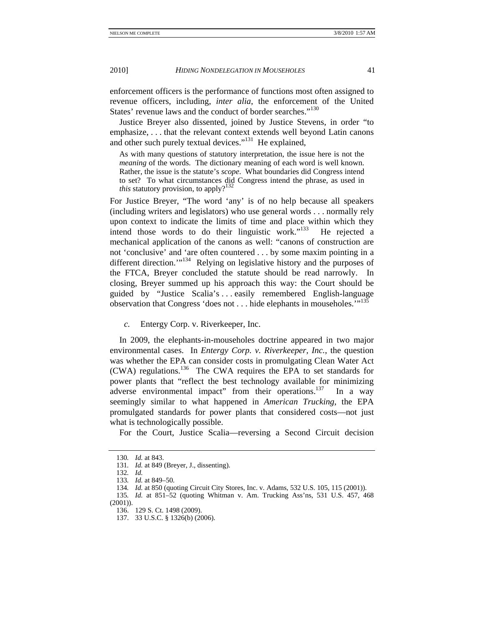enforcement officers is the performance of functions most often assigned to revenue officers, including, *inter alia*, the enforcement of the United States' revenue laws and the conduct of border searches."<sup>130</sup>

Justice Breyer also dissented, joined by Justice Stevens, in order "to emphasize, . . . that the relevant context extends well beyond Latin canons and other such purely textual devices."<sup>131</sup> He explained,

As with many questions of statutory interpretation, the issue here is not the *meaning* of the words. The dictionary meaning of each word is well known. Rather, the issue is the statute's *scope*. What boundaries did Congress intend to set? To what circumstances did Congress intend the phrase, as used in *this* statutory provision, to apply?<sup>132</sup>

For Justice Breyer, "The word 'any' is of no help because all speakers (including writers and legislators) who use general words . . . normally rely upon context to indicate the limits of time and place within which they intend those words to do their linguistic work."133 He rejected a mechanical application of the canons as well: "canons of construction are not 'conclusive' and 'are often countered . . . by some maxim pointing in a different direction.'"<sup>134</sup> Relying on legislative history and the purposes of the FTCA, Breyer concluded the statute should be read narrowly. In closing, Breyer summed up his approach this way: the Court should be guided by "Justice Scalia's . . . easily remembered English-language observation that Congress 'does not . . . hide elephants in mouseholes.'"<sup>135</sup>

*c.* Entergy Corp. v. Riverkeeper, Inc.

In 2009, the elephants-in-mouseholes doctrine appeared in two major environmental cases. In *Entergy Corp. v. Riverkeeper, Inc.*, the question was whether the EPA can consider costs in promulgating Clean Water Act (CWA) regulations.136 The CWA requires the EPA to set standards for power plants that "reflect the best technology available for minimizing adverse environmental impact" from their operations.<sup>137</sup> In a way seemingly similar to what happened in *American Trucking*, the EPA promulgated standards for power plants that considered costs—not just what is technologically possible.

For the Court, Justice Scalia—reversing a Second Circuit decision

<sup>130</sup>*. Id.* at 843.

<sup>131</sup>*. Id.* at 849 (Breyer, J., dissenting).

<sup>132</sup>*. Id.*

<sup>133</sup>*. Id.* at 849–50.

<sup>134</sup>*. Id.* at 850 (quoting Circuit City Stores, Inc. v. Adams, 532 U.S. 105, 115 (2001)).

<sup>135</sup>*. Id.* at 851–52 (quoting Whitman v. Am. Trucking Ass'ns, 531 U.S. 457, 468 (2001)).

 <sup>136. 129</sup> S. Ct. 1498 (2009).

 <sup>137. 33</sup> U.S.C. § 1326(b) (2006).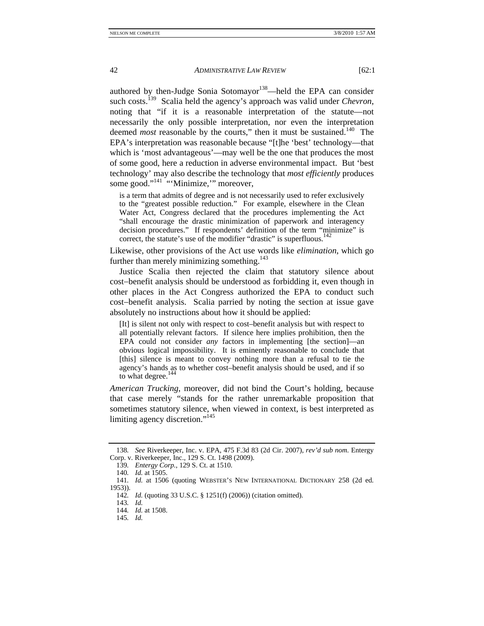authored by then-Judge Sonia Sotomayor<sup>138</sup>—held the EPA can consider such costs.139 Scalia held the agency's approach was valid under *Chevron*, noting that "if it is a reasonable interpretation of the statute—not necessarily the only possible interpretation, nor even the interpretation deemed *most* reasonable by the courts," then it must be sustained.<sup>140</sup> The EPA's interpretation was reasonable because "[t]he 'best' technology—that which is 'most advantageous'—may well be the one that produces the most of some good, here a reduction in adverse environmental impact. But 'best technology' may also describe the technology that *most efficiently* produces some good."<sup>141</sup> "Minimize," moreover,

is a term that admits of degree and is not necessarily used to refer exclusively to the "greatest possible reduction." For example, elsewhere in the Clean Water Act, Congress declared that the procedures implementing the Act "shall encourage the drastic minimization of paperwork and interagency decision procedures." If respondents' definition of the term "minimize" is correct, the statute's use of the modifier "drastic" is superfluous.<sup>142</sup>

Likewise, other provisions of the Act use words like *elimination*, which go further than merely minimizing something. $143$ 

Justice Scalia then rejected the claim that statutory silence about cost−benefit analysis should be understood as forbidding it, even though in other places in the Act Congress authorized the EPA to conduct such cost−benefit analysis. Scalia parried by noting the section at issue gave absolutely no instructions about how it should be applied:

[It] is silent not only with respect to cost–benefit analysis but with respect to all potentially relevant factors. If silence here implies prohibition, then the EPA could not consider *any* factors in implementing [the section]—an obvious logical impossibility. It is eminently reasonable to conclude that [this] silence is meant to convey nothing more than a refusal to tie the agency's hands as to whether cost–benefit analysis should be used, and if so to what degree.<sup>144</sup>

*American Trucking*, moreover, did not bind the Court's holding, because that case merely "stands for the rather unremarkable proposition that sometimes statutory silence, when viewed in context, is best interpreted as limiting agency discretion."<sup>145</sup>

<sup>138</sup>*. See* Riverkeeper, Inc. v. EPA, 475 F.3d 83 (2d Cir. 2007), *rev'd sub nom.* Entergy Corp. v. Riverkeeper, Inc., 129 S. Ct. 1498 (2009).

<sup>139</sup>*. Entergy Corp.*, 129 S. Ct. at 1510.

<sup>140</sup>*. Id.* at 1505.

<sup>141</sup>*. Id.* at 1506 (quoting WEBSTER'S NEW INTERNATIONAL DICTIONARY 258 (2d ed. 1953)).

<sup>142</sup>*. Id.* (quoting 33 U.S.C. § 1251(f) (2006)) (citation omitted).

<sup>143</sup>*. Id.*

<sup>144</sup>*. Id.* at 1508.

<sup>145</sup>*. Id.*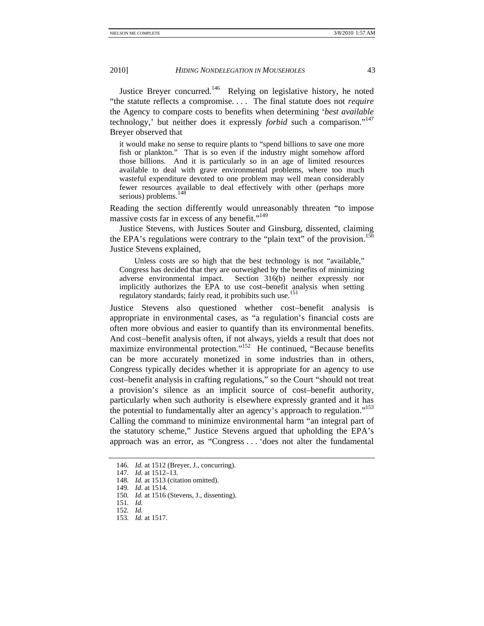Justice Breyer concurred.<sup>146</sup> Relying on legislative history, he noted "the statute reflects a compromise. . . . The final statute does not *require*  the Agency to compare costs to benefits when determining '*best available* technology,' but neither does it expressly *forbid* such a comparison."147 Breyer observed that

it would make no sense to require plants to "spend billions to save one more fish or plankton." That is so even if the industry might somehow afford those billions. And it is particularly so in an age of limited resources available to deal with grave environmental problems, where too much wasteful expenditure devoted to one problem may well mean considerably fewer resources available to deal effectively with other (perhaps more serious) problems.<sup>148</sup>

Reading the section differently would unreasonably threaten "to impose massive costs far in excess of any benefit."<sup>149</sup>

Justice Stevens, with Justices Souter and Ginsburg, dissented, claiming the EPA's regulations were contrary to the "plain text" of the provision.<sup>150</sup> Justice Stevens explained,

 Unless costs are so high that the best technology is not "available," Congress has decided that they are outweighed by the benefits of minimizing adverse environmental impact. Section 316(b) neither expressly nor implicitly authorizes the EPA to use cost–benefit analysis when setting regulatory standards; fairly read, it prohibits such use.<sup>151</sup>

Justice Stevens also questioned whether cost−benefit analysis is appropriate in environmental cases, as "a regulation's financial costs are often more obvious and easier to quantify than its environmental benefits. And cost−benefit analysis often, if not always, yields a result that does not maximize environmental protection."<sup>152</sup> He continued, "Because benefits" can be more accurately monetized in some industries than in others, Congress typically decides whether it is appropriate for an agency to use cost–benefit analysis in crafting regulations," so the Court "should not treat a provision's silence as an implicit source of cost–benefit authority, particularly when such authority is elsewhere expressly granted and it has the potential to fundamentally alter an agency's approach to regulation."<sup>153</sup> Calling the command to minimize environmental harm "an integral part of the statutory scheme," Justice Stevens argued that upholding the EPA's approach was an error, as "Congress . . . 'does not alter the fundamental

151*. Id.*

<sup>146</sup>*. Id.* at 1512 (Breyer, J., concurring).

<sup>147</sup>*. Id.* at 1512–13.

<sup>148</sup>*. Id.* at 1513 (citation omitted).

<sup>149</sup>*. Id.* at 1514.

<sup>150</sup>*. Id.* at 1516 (Stevens, J., dissenting).

<sup>152</sup>*. Id.*

<sup>153</sup>*. Id.* at 1517.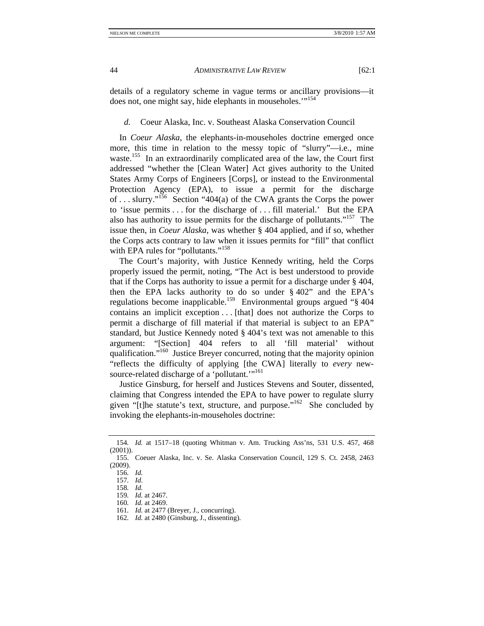details of a regulatory scheme in vague terms or ancillary provisions—it does not, one might say, hide elephants in mouseholes."<sup>154</sup>

*d.* Coeur Alaska, Inc. v. Southeast Alaska Conservation Council

In *Coeur Alaska*, the elephants-in-mouseholes doctrine emerged once more, this time in relation to the messy topic of "slurry"—i.e., mine waste.<sup>155</sup> In an extraordinarily complicated area of the law, the Court first addressed "whether the [Clean Water] Act gives authority to the United States Army Corps of Engineers [Corps], or instead to the Environmental Protection Agency (EPA), to issue a permit for the discharge of ... slurry."<sup>156</sup> Section "404(a) of the CWA grants the Corps the power to 'issue permits . . . for the discharge of . . . fill material.' But the EPA also has authority to issue permits for the discharge of pollutants."<sup>157</sup> The issue then, in *Coeur Alaska*, was whether § 404 applied, and if so, whether the Corps acts contrary to law when it issues permits for "fill" that conflict with EPA rules for "pollutants."<sup>158</sup>

The Court's majority, with Justice Kennedy writing, held the Corps properly issued the permit, noting, "The Act is best understood to provide that if the Corps has authority to issue a permit for a discharge under § 404, then the EPA lacks authority to do so under § 402" and the EPA's regulations become inapplicable.<sup>159</sup> Environmental groups argued " $\S$  404 contains an implicit exception . . . [that] does not authorize the Corps to permit a discharge of fill material if that material is subject to an EPA" standard, but Justice Kennedy noted § 404's text was not amenable to this argument: "[Section] 404 refers to all 'fill material' without qualification."<sup>160</sup> Justice Breyer concurred, noting that the majority opinion "reflects the difficulty of applying [the CWA] literally to *every* newsource-related discharge of a 'pollutant.'"<sup>161</sup>

Justice Ginsburg, for herself and Justices Stevens and Souter, dissented, claiming that Congress intended the EPA to have power to regulate slurry given "[t]he statute's text, structure, and purpose."162 She concluded by invoking the elephants-in-mouseholes doctrine:

<sup>154</sup>*. Id.* at 1517–18 (quoting Whitman v. Am. Trucking Ass'ns, 531 U.S. 457, 468 (2001)).

 <sup>155.</sup> Coeuer Alaska, Inc. v. Se. Alaska Conservation Council, 129 S. Ct. 2458, 2463 (2009).

<sup>156</sup>*. Id.*

<sup>157</sup>*. Id*.

<sup>158</sup>*. Id.*

<sup>159</sup>*. Id.* at 2467.

<sup>160</sup>*. Id.* at 2469.

<sup>161</sup>*. Id.* at 2477 (Breyer, J., concurring).

<sup>162</sup>*. Id.* at 2480 (Ginsburg, J., dissenting).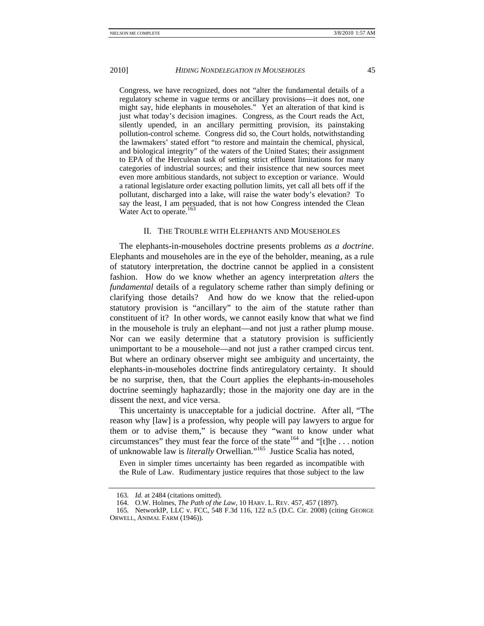Congress, we have recognized, does not "alter the fundamental details of a regulatory scheme in vague terms or ancillary provisions—it does not, one might say, hide elephants in mouseholes." Yet an alteration of that kind is just what today's decision imagines. Congress, as the Court reads the Act, silently upended, in an ancillary permitting provision, its painstaking pollution-control scheme. Congress did so, the Court holds, notwithstanding the lawmakers' stated effort "to restore and maintain the chemical, physical, and biological integrity" of the waters of the United States; their assignment to EPA of the Herculean task of setting strict effluent limitations for many categories of industrial sources; and their insistence that new sources meet even more ambitious standards, not subject to exception or variance. Would a rational legislature order exacting pollution limits, yet call all bets off if the pollutant, discharged into a lake, will raise the water body's elevation? To say the least, I am persuaded, that is not how Congress intended the Clean Water Act to operate.<sup>163</sup>

#### II. THE TROUBLE WITH ELEPHANTS AND MOUSEHOLES

The elephants-in-mouseholes doctrine presents problems *as a doctrine*. Elephants and mouseholes are in the eye of the beholder, meaning, as a rule of statutory interpretation, the doctrine cannot be applied in a consistent fashion. How do we know whether an agency interpretation *alters* the *fundamental* details of a regulatory scheme rather than simply defining or clarifying those details? And how do we know that the relied-upon statutory provision is "ancillary" to the aim of the statute rather than constituent of it? In other words, we cannot easily know that what we find in the mousehole is truly an elephant—and not just a rather plump mouse. Nor can we easily determine that a statutory provision is sufficiently unimportant to be a mousehole—and not just a rather cramped circus tent. But where an ordinary observer might see ambiguity and uncertainty, the elephants-in-mouseholes doctrine finds antiregulatory certainty. It should be no surprise, then, that the Court applies the elephants-in-mouseholes doctrine seemingly haphazardly; those in the majority one day are in the dissent the next, and vice versa.

This uncertainty is unacceptable for a judicial doctrine. After all, "The reason why [law] is a profession, why people will pay lawyers to argue for them or to advise them," is because they "want to know under what circumstances" they must fear the force of the state<sup>164</sup> and "[t]he ... notion of unknowable law is *literally* Orwellian."165 Justice Scalia has noted,

Even in simpler times uncertainty has been regarded as incompatible with the Rule of Law. Rudimentary justice requires that those subject to the law

<sup>163</sup>*. Id.* at 2484 (citations omitted).

 <sup>164.</sup> O.W. Holmes, *The Path of the Law*, 10 HARV. L. REV. 457, 457 (1897).

<sup>165</sup>*.* NetworkIP, LLC v. FCC, 548 F.3d 116, 122 n.5 (D.C. Cir. 2008) (citing GEORGE ORWELL, ANIMAL FARM (1946)).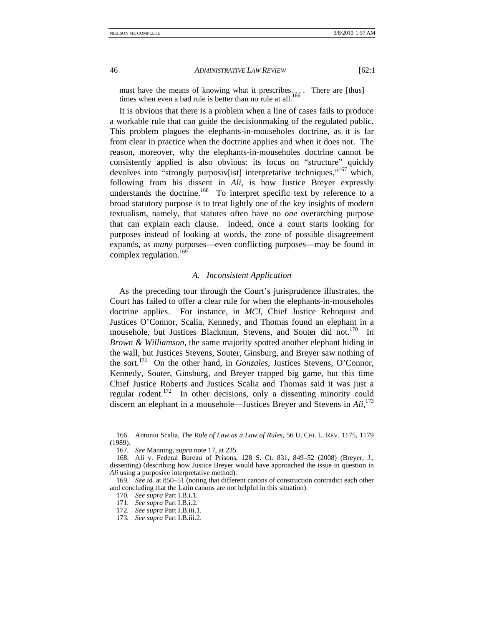must have the means of knowing what it prescribes.... There are [thus] times when even a bad rule is better than no rule at all.<sup>166</sup>

It is obvious that there is a problem when a line of cases fails to produce a workable rule that can guide the decisionmaking of the regulated public. This problem plagues the elephants-in-mouseholes doctrine, as it is far from clear in practice when the doctrine applies and when it does not. The reason, moreover, why the elephants-in-mouseholes doctrine cannot be consistently applied is also obvious: its focus on "structure" quickly devolves into "strongly purposive is interpretative techniques,"<sup>167</sup> which, following from his dissent in *Ali*, is how Justice Breyer expressly understands the doctrine.<sup>168</sup> To interpret specific text by reference to a broad statutory purpose is to treat lightly one of the key insights of modern textualism, namely, that statutes often have no *one* overarching purpose that can explain each clause. Indeed, once a court starts looking for purposes instead of looking at words, the zone of possible disagreement expands, as *many* purposes—even conflicting purposes—may be found in complex regulation.<sup>169</sup>

## *A. Inconsistent Application*

As the preceding tour through the Court's jurisprudence illustrates, the Court has failed to offer a clear rule for when the elephants-in-mouseholes doctrine applies. For instance, in *MCI*, Chief Justice Rehnquist and Justices O'Connor, Scalia, Kennedy, and Thomas found an elephant in a mousehole, but Justices Blackmun, Stevens, and Souter did not.<sup>170</sup> In *Brown & Williamson*, the same majority spotted another elephant hiding in the wall, but Justices Stevens, Souter, Ginsburg, and Breyer saw nothing of the sort.171 On the other hand, in *Gonzales,* Justices Stevens, O'Connor, Kennedy, Souter, Ginsburg, and Breyer trapped big game, but this time Chief Justice Roberts and Justices Scalia and Thomas said it was just a regular rodent.<sup>172</sup> In other decisions, only a dissenting minority could discern an elephant in a mousehole—Justices Breyer and Stevens in *Ali*, 173

 <sup>166.</sup> Antonin Scalia, *The Rule of Law as a Law of Rules*, 56 U. CHI. L. REV. 1175, 1179 (1989).

<sup>167</sup>*. See* Manning, *supra* note 17, at 235.

 <sup>168.</sup> Ali v. Federal Bureau of Prisons, 128 S. Ct. 831, 849–52 (2008) (Breyer, J., dissenting) (describing how Justice Breyer would have approached the issue in question in *Ali* using a purposive interpretative method).

<sup>169</sup>*. See id.* at 850–51 (noting that different canons of construction contradict each other and concluding that the Latin canons are not helpful in this situation).

<sup>170</sup>*. See supra* Part I.B.i.1.

<sup>171</sup>*. See supra* Part I.B.i.2.

<sup>172</sup>*. See supra* Part I.B.iii.1.

<sup>173</sup>*. See supra* Part I.B.iii.2.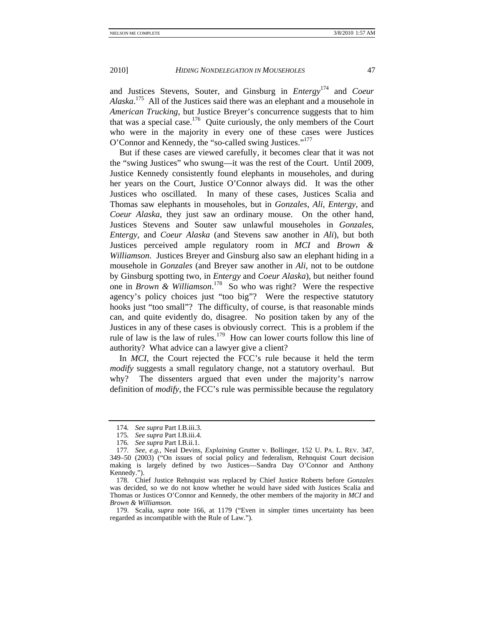and Justices Stevens, Souter, and Ginsburg in *Entergy*174 and *Coeur Alaska*. 175 All of the Justices said there was an elephant and a mousehole in *American Trucking*, but Justice Breyer's concurrence suggests that to him that was a special case.<sup>176</sup> Quite curiously, the only members of the Court who were in the majority in every one of these cases were Justices O'Connor and Kennedy, the "so-called swing Justices."177

But if these cases are viewed carefully, it becomes clear that it was not the "swing Justices" who swung—it was the rest of the Court. Until 2009, Justice Kennedy consistently found elephants in mouseholes, and during her years on the Court, Justice O'Connor always did. It was the other Justices who oscillated. In many of these cases, Justices Scalia and Thomas saw elephants in mouseholes, but in *Gonzales*, *Ali*, *Entergy*, and *Coeur Alaska*, they just saw an ordinary mouse. On the other hand, Justices Stevens and Souter saw unlawful mouseholes in *Gonzales, Entergy,* and *Coeur Alaska* (and Stevens saw another in *Ali*), but both Justices perceived ample regulatory room in *MCI* and *Brown & Williamson*. Justices Breyer and Ginsburg also saw an elephant hiding in a mousehole in *Gonzales* (and Breyer saw another in *Ali*, not to be outdone by Ginsburg spotting two, in *Entergy* and *Coeur Alaska*), but neither found one in *Brown & Williamson*. 178 So who was right? Were the respective agency's policy choices just "too big"? Were the respective statutory hooks just "too small"? The difficulty, of course, is that reasonable minds can, and quite evidently do, disagree. No position taken by any of the Justices in any of these cases is obviously correct. This is a problem if the rule of law is the law of rules.<sup>179</sup> How can lower courts follow this line of authority? What advice can a lawyer give a client?

In *MCI*, the Court rejected the FCC's rule because it held the term *modify* suggests a small regulatory change, not a statutory overhaul. But why? The dissenters argued that even under the majority's narrow definition of *modify*, the FCC's rule was permissible because the regulatory

<sup>174</sup>*. See supra* Part I.B.iii.3.

<sup>175</sup>*. See supra* Part I.B.iii.4.

<sup>176</sup>*. See supra* Part I.B.ii.1.

<sup>177</sup>*. See, e.g.*, Neal Devins, *Explaining* Grutter v. Bollinger, 152 U. PA. L. REV. 347, 349–50 (2003) ("On issues of social policy and federalism, Rehnquist Court decision making is largely defined by two Justices—Sandra Day O'Connor and Anthony Kennedy.").

 <sup>178.</sup> Chief Justice Rehnquist was replaced by Chief Justice Roberts before *Gonzales* was decided, so we do not know whether he would have sided with Justices Scalia and Thomas or Justices O'Connor and Kennedy, the other members of the majority in *MCI* and *Brown & Williamson.* 

 <sup>179.</sup> Scalia, *supra* note 166, at 1179 ("Even in simpler times uncertainty has been regarded as incompatible with the Rule of Law.").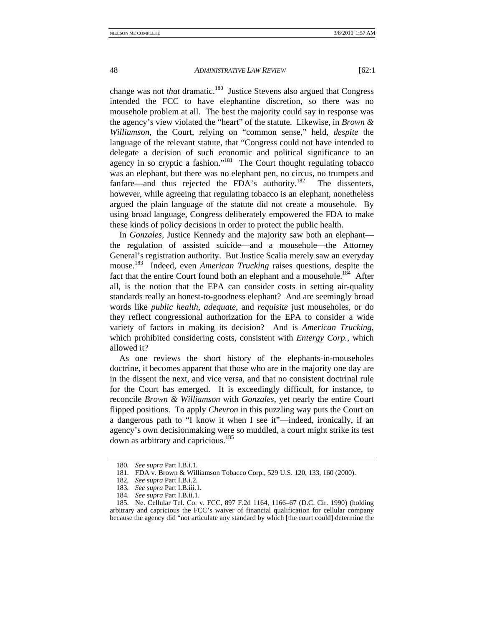change was not *that* dramatic.<sup>180</sup> Justice Stevens also argued that Congress intended the FCC to have elephantine discretion, so there was no mousehole problem at all. The best the majority could say in response was the agency's view violated the "heart" of the statute. Likewise, in *Brown & Williamson*, the Court, relying on "common sense," held, *despite* the language of the relevant statute, that "Congress could not have intended to delegate a decision of such economic and political significance to an agency in so cryptic a fashion."<sup>181</sup> The Court thought regulating tobacco was an elephant, but there was no elephant pen, no circus, no trumpets and fanfare—and thus rejected the FDA's authority.<sup>182</sup> The dissenters, however, while agreeing that regulating tobacco is an elephant, nonetheless argued the plain language of the statute did not create a mousehole. By using broad language, Congress deliberately empowered the FDA to make these kinds of policy decisions in order to protect the public health.

In *Gonzales*, Justice Kennedy and the majority saw both an elephant the regulation of assisted suicide—and a mousehole—the Attorney General's registration authority. But Justice Scalia merely saw an everyday mouse.<sup>183</sup> Indeed, even *American Trucking* raises questions, despite the fact that the entire Court found both an elephant and a mousehole.<sup>184</sup> After all, is the notion that the EPA can consider costs in setting air-quality standards really an honest-to-goodness elephant? And are seemingly broad words like *public health*, *adequate*, and *requisite* just mouseholes, or do they reflect congressional authorization for the EPA to consider a wide variety of factors in making its decision? And is *American Trucking*, which prohibited considering costs, consistent with *Entergy Corp.*, which allowed it?

As one reviews the short history of the elephants-in-mouseholes doctrine, it becomes apparent that those who are in the majority one day are in the dissent the next, and vice versa, and that no consistent doctrinal rule for the Court has emerged. It is exceedingly difficult, for instance, to reconcile *Brown & Williamson* with *Gonzales*, yet nearly the entire Court flipped positions. To apply *Chevron* in this puzzling way puts the Court on a dangerous path to "I know it when I see it"—indeed, ironically, if an agency's own decisionmaking were so muddled, a court might strike its test down as arbitrary and capricious.<sup>185</sup>

<sup>180</sup>*. See supra* Part I.B.i.1.

 <sup>181.</sup> FDA v. Brown & Williamson Tobacco Corp., 529 U.S. 120, 133, 160 (2000).

<sup>182</sup>*. See supra* Part I.B.i.2.

<sup>183</sup>*. See supra* Part I.B.iii.1.

<sup>184</sup>*. See supra* Part I.B.ii.1.

 <sup>185.</sup> Ne. Cellular Tel. Co. v. FCC, 897 F.2d 1164, 1166–67 (D.C. Cir. 1990) (holding arbitrary and capricious the FCC's waiver of financial qualification for cellular company because the agency did "not articulate any standard by which [the court could] determine the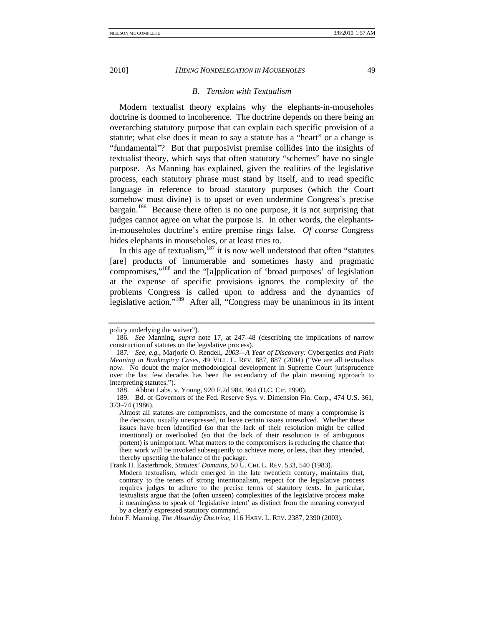#### *B. Tension with Textualism*

Modern textualist theory explains why the elephants-in-mouseholes doctrine is doomed to incoherence. The doctrine depends on there being an overarching statutory purpose that can explain each specific provision of a statute; what else does it mean to say a statute has a "heart" or a change is "fundamental"? But that purposivist premise collides into the insights of textualist theory, which says that often statutory "schemes" have no single purpose. As Manning has explained, given the realities of the legislative process, each statutory phrase must stand by itself, and to read specific language in reference to broad statutory purposes (which the Court somehow must divine) is to upset or even undermine Congress's precise bargain.186 Because there often is no one purpose, it is not surprising that judges cannot agree on what the purpose is. In other words, the elephantsin-mouseholes doctrine's entire premise rings false. *Of course* Congress hides elephants in mouseholes, or at least tries to.

In this age of textualism, $187$  it is now well understood that often "statutes" [are] products of innumerable and sometimes hasty and pragmatic compromises,"188 and the "[a]pplication of 'broad purposes' of legislation at the expense of specific provisions ignores the complexity of the problems Congress is called upon to address and the dynamics of legislative action."189 After all, "Congress may be unanimous in its intent

Frank H. Easterbrook, *Statutes' Domains*, 50 U. CHI. L. REV. 533, 540 (1983). Modern textualism, which emerged in the late twentieth century, maintains that, contrary to the tenets of strong intentionalism, respect for the legislative process requires judges to adhere to the precise terms of statutory texts. In particular, textualists argue that the (often unseen) complexities of the legislative process make it meaningless to speak of 'legislative intent' as distinct from the meaning conveyed by a clearly expressed statutory command.

policy underlying the waiver").

<sup>186</sup>*. See* Manning, *supra* note 17, at 247–48 (describing the implications of narrow construction of statutes on the legislative process).

<sup>187</sup>*. See, e.g.*, Marjorie O. Rendell, *2003—A Year of Discovery:* Cybergenics *and Plain Meaning in Bankruptcy Cases*, 49 VILL. L. REV. 887, 887 (2004) ("We are all textualists now. No doubt the major methodological development in Supreme Court jurisprudence over the last few decades has been the ascendancy of the plain meaning approach to interpreting statutes.").

 <sup>188.</sup> Abbott Labs. v. Young, 920 F.2d 984, 994 (D.C. Cir. 1990).

 <sup>189.</sup> Bd. of Governors of the Fed. Reserve Sys. v. Dimension Fin. Corp., 474 U.S. 361, 373–74 (1986).

Almost all statutes are compromises, and the cornerstone of many a compromise is the decision, usually unexpressed, to leave certain issues unresolved. Whether these issues have been identified (so that the lack of their resolution might be called intentional) or overlooked (so that the lack of their resolution is of ambiguous portent) is unimportant. What matters to the compromisers is reducing the chance that their work will be invoked subsequently to achieve more, or less, than they intended, thereby upsetting the balance of the package.

John F. Manning, *The Absurdity Doctrine*, 116 HARV. L. REV. 2387, 2390 (2003).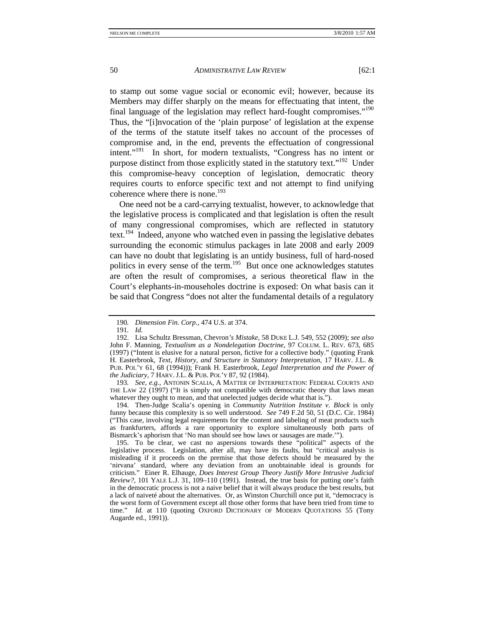to stamp out some vague social or economic evil; however, because its Members may differ sharply on the means for effectuating that intent, the final language of the legislation may reflect hard-fought compromises."190 Thus, the "[i]nvocation of the 'plain purpose' of legislation at the expense of the terms of the statute itself takes no account of the processes of compromise and, in the end, prevents the effectuation of congressional intent."191 In short, for modern textualists, "Congress has no intent or purpose distinct from those explicitly stated in the statutory text."<sup>192</sup> Under this compromise-heavy conception of legislation, democratic theory requires courts to enforce specific text and not attempt to find unifying coherence where there is none.<sup>193</sup>

One need not be a card-carrying textualist, however, to acknowledge that the legislative process is complicated and that legislation is often the result of many congressional compromises, which are reflected in statutory text.<sup>194</sup> Indeed, anyone who watched even in passing the legislative debates surrounding the economic stimulus packages in late 2008 and early 2009 can have no doubt that legislating is an untidy business, full of hard-nosed politics in every sense of the term.<sup>195</sup> But once one acknowledges statutes are often the result of compromises, a serious theoretical flaw in the Court's elephants-in-mouseholes doctrine is exposed: On what basis can it be said that Congress "does not alter the fundamental details of a regulatory

193*. See, e.g.*, ANTONIN SCALIA, A MATTER OF INTERPRETATION: FEDERAL COURTS AND THE LAW 22 (1997) ("It is simply not compatible with democratic theory that laws mean whatever they ought to mean, and that unelected judges decide what that is.").

 194. Then-Judge Scalia's opening in *Community Nutrition Institute v. Block* is only funny because this complexity is so well understood. *See* 749 F.2d 50, 51 (D.C. Cir. 1984) ("This case, involving legal requirements for the content and labeling of meat products such as frankfurters, affords a rare opportunity to explore simultaneously both parts of Bismarck's aphorism that 'No man should see how laws or sausages are made.'").

 195. To be clear, we cast no aspersions towards these "political" aspects of the legislative process. Legislation, after all, may have its faults, but "critical analysis is misleading if it proceeds on the premise that those defects should be measured by the 'nirvana' standard, where any deviation from an unobtainable ideal is grounds for criticism." Einer R. Elhauge, *Does Interest Group Theory Justify More Intrusive Judicial Review?*, 101 YALE L.J. 31, 109–110 (1991). Instead, the true basis for putting one's faith in the democratic process is not a naive belief that it will always produce the best results, but a lack of naiveté about the alternatives. Or, as Winston Churchill once put it, "democracy is the worst form of Government except all those other forms that have been tried from time to time." *Id.* at 110 (quoting OXFORD DICTIONARY OF MODERN QUOTATIONS 55 (Tony Augarde ed., 1991)).

<sup>190</sup>*. Dimension Fin. Corp.*, 474 U.S. at 374.

<sup>191</sup>*. Id.* 

 <sup>192.</sup> Lisa Schultz Bressman, Chevron*'s Mistake*, 58 DUKE L.J. 549, 552 (2009); *see also*  John F. Manning, *Textualism as a Nondelegation Doctrine*, 97 COLUM. L. REV. 673, 685 (1997) ("Intent is elusive for a natural person, fictive for a collective body." (quoting Frank H. Easterbrook, *Text, History, and Structure in Statutory Interpretation*, 17 HARV. J.L. & PUB. POL'Y 61, 68 (1994))); Frank H. Easterbrook, *Legal Interpretation and the Power of the Judiciary*, 7 HARV. J.L. & PUB. POL'Y 87, 92 (1984).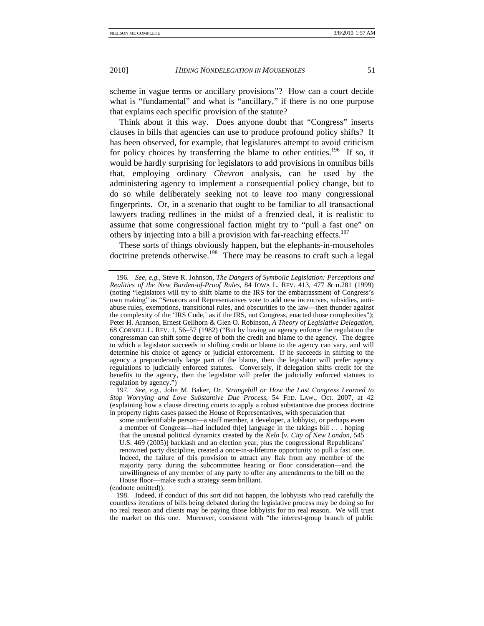scheme in vague terms or ancillary provisions"? How can a court decide what is "fundamental" and what is "ancillary," if there is no one purpose that explains each specific provision of the statute?

Think about it this way. Does anyone doubt that "Congress" inserts clauses in bills that agencies can use to produce profound policy shifts? It has been observed, for example, that legislatures attempt to avoid criticism for policy choices by transferring the blame to other entities.<sup>196</sup> If so, it would be hardly surprising for legislators to add provisions in omnibus bills that, employing ordinary *Chevron* analysis, can be used by the administering agency to implement a consequential policy change, but to do so while deliberately seeking not to leave *too* many congressional fingerprints. Or, in a scenario that ought to be familiar to all transactional lawyers trading redlines in the midst of a frenzied deal, it is realistic to assume that some congressional faction might try to "pull a fast one" on others by injecting into a bill a provision with far-reaching effects.<sup>197</sup>

These sorts of things obviously happen, but the elephants-in-mouseholes doctrine pretends otherwise.<sup>198</sup> There may be reasons to craft such a legal

197*. See, e.g.*, John M. Baker, *Dr. Strangebill or How the Last Congress Learned to Stop Worrying and Love Substantive Due Process*, 54 FED. LAW., Oct. 2007, at 42 (explaining how a clause directing courts to apply a robust substantive due process doctrine in property rights cases passed the House of Representatives, with speculation that

some unidentifiable person—a staff member, a developer, a lobbyist, or perhaps even a member of Congress—had included th[e] language in the takings bill . . . hoping that the unusual political dynamics created by the *Kelo* [*v. City of New London*, 545 U.S. 469 (2005)] backlash and an election year, plus the congressional Republicans' renowned party discipline, created a once-in-a-lifetime opportunity to pull a fast one. Indeed, the failure of this provision to attract any flak from any member of the majority party during the subcommittee hearing or floor consideration—and the unwillingness of any member of any party to offer any amendments to the bill on the House floor—make such a strategy seem brilliant.

(endnote omitted)).

<sup>196</sup>*. See, e.g.*, Steve R. Johnson, *The Dangers of Symbolic Legislation: Perceptions and Realities of the New Burden-of-Proof Rules*, 84 IOWA L. REV. 413, 477 & n.281 (1999) (noting "legislators will try to shift blame to the IRS for the embarrassment of Congress's own making" as "Senators and Representatives vote to add new incentives, subsidies, antiabuse rules, exemptions, transitional rules, and obscurities to the law—then thunder against the complexity of the 'IRS Code,' as if the IRS, not Congress, enacted those complexities"); Peter H. Aranson, Ernest Gellhorn & Glen O. Robinson, *A Theory of Legislative Delegation*, 68 CORNELL L. REV. 1, 56–57 (1982) ("But by having an agency enforce the regulation the congressman can shift some degree of both the credit and blame to the agency. The degree to which a legislator succeeds in shifting credit or blame to the agency can vary, and will determine his choice of agency or judicial enforcement. If he succeeds in shifting to the agency a preponderantly large part of the blame, then the legislator will prefer agency regulations to judicially enforced statutes. Conversely, if delegation shifts credit for the benefits to the agency, then the legislator will prefer the judicially enforced statutes to regulation by agency.")

 <sup>198.</sup> Indeed, if conduct of this sort did not happen, the lobbyists who read carefully the countless iterations of bills being debated during the legislative process may be doing so for no real reason and clients may be paying those lobbyists for no real reason. We will trust the market on this one. Moreover, consistent with "the interest-group branch of public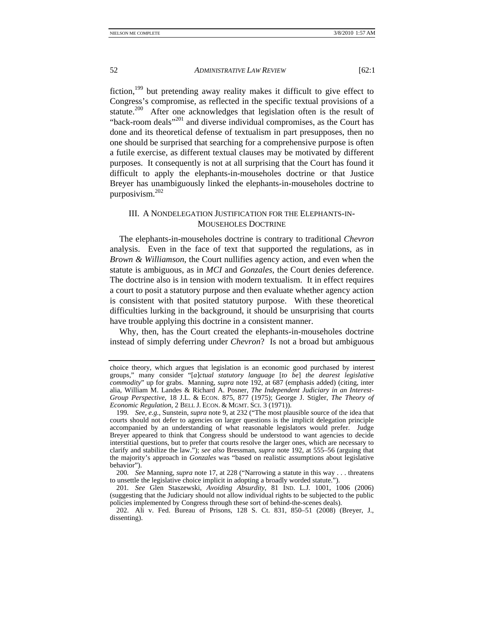fiction,199 but pretending away reality makes it difficult to give effect to Congress's compromise, as reflected in the specific textual provisions of a statute.<sup>200</sup> After one acknowledges that legislation often is the result of "back-room deals"<sup>201</sup> and diverse individual compromises, as the Court has done and its theoretical defense of textualism in part presupposes, then no one should be surprised that searching for a comprehensive purpose is often a futile exercise, as different textual clauses may be motivated by different purposes. It consequently is not at all surprising that the Court has found it difficult to apply the elephants-in-mouseholes doctrine or that Justice Breyer has unambiguously linked the elephants-in-mouseholes doctrine to purposivism.202

## III. A NONDELEGATION JUSTIFICATION FOR THE ELEPHANTS-IN-MOUSEHOLES DOCTRINE

The elephants-in-mouseholes doctrine is contrary to traditional *Chevron*  analysis. Even in the face of text that supported the regulations, as in *Brown & Williamson*, the Court nullifies agency action, and even when the statute is ambiguous, as in *MCI* and *Gonzales*, the Court denies deference. The doctrine also is in tension with modern textualism. It in effect requires a court to posit a statutory purpose and then evaluate whether agency action is consistent with that posited statutory purpose. With these theoretical difficulties lurking in the background, it should be unsurprising that courts have trouble applying this doctrine in a consistent manner.

Why, then, has the Court created the elephants-in-mouseholes doctrine instead of simply deferring under *Chevron*? Is not a broad but ambiguous

choice theory, which argues that legislation is an economic good purchased by interest groups," many consider "[*a*]*ctual statutory language* [*to be*] *the dearest legislative commodity*" up for grabs. Manning, *supra* note 192, at 687 (emphasis added) (citing, inter alia, William M. Landes & Richard A. Posner, *The Independent Judiciary in an Interest-Group Perspective*, 18 J.L. & ECON. 875, 877 (1975); George J. Stigler, *The Theory of Economic Regulation*, 2 BELL J. ECON. & MGMT. SCI. 3 (1971)).

<sup>199</sup>*. See, e.g.*, Sunstein, *supra* note 9, at 232 ("The most plausible source of the idea that courts should not defer to agencies on larger questions is the implicit delegation principle accompanied by an understanding of what reasonable legislators would prefer. Judge Breyer appeared to think that Congress should be understood to want agencies to decide interstitial questions, but to prefer that courts resolve the larger ones, which are necessary to clarify and stabilize the law."); *see also* Bressman, *supra* note 192, at 555–56 (arguing that the majority's approach in *Gonzales* was "based on realistic assumptions about legislative behavior").

<sup>200</sup>*. See* Manning, *supra* note 17, at 228 ("Narrowing a statute in this way . . . threatens to unsettle the legislative choice implicit in adopting a broadly worded statute.").

<sup>201</sup>*. See* Glen Staszewski, *Avoiding Absurdity*, 81 IND. L.J. 1001, 1006 (2006) (suggesting that the Judiciary should not allow individual rights to be subjected to the public policies implemented by Congress through these sort of behind-the-scenes deals).

 <sup>202.</sup> Ali v. Fed. Bureau of Prisons, 128 S. Ct. 831, 850–51 (2008) (Breyer, J., dissenting).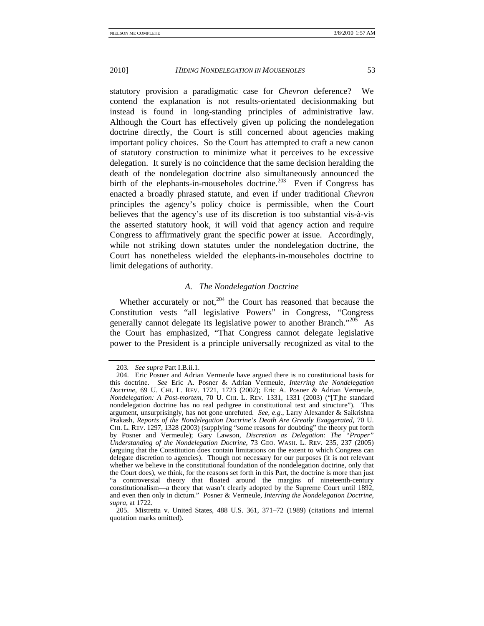statutory provision a paradigmatic case for *Chevron* deference? We contend the explanation is not results-orientated decisionmaking but instead is found in long-standing principles of administrative law. Although the Court has effectively given up policing the nondelegation doctrine directly, the Court is still concerned about agencies making important policy choices. So the Court has attempted to craft a new canon of statutory construction to minimize what it perceives to be excessive delegation. It surely is no coincidence that the same decision heralding the death of the nondelegation doctrine also simultaneously announced the birth of the elephants-in-mouseholes doctrine.<sup>203</sup> Even if Congress has enacted a broadly phrased statute, and even if under traditional *Chevron* principles the agency's policy choice is permissible, when the Court believes that the agency's use of its discretion is too substantial vis-à-vis the asserted statutory hook, it will void that agency action and require Congress to affirmatively grant the specific power at issue. Accordingly, while not striking down statutes under the nondelegation doctrine, the Court has nonetheless wielded the elephants-in-mouseholes doctrine to limit delegations of authority.

## *A. The Nondelegation Doctrine*

Whether accurately or not, $204$  the Court has reasoned that because the Constitution vests "all legislative Powers" in Congress, "Congress generally cannot delegate its legislative power to another Branch."<sup>205</sup> As the Court has emphasized, "That Congress cannot delegate legislative power to the President is a principle universally recognized as vital to the

<sup>203</sup>*. See supra* Part I.B.ii.1.

 <sup>204.</sup> Eric Posner and Adrian Vermeule have argued there is no constitutional basis for this doctrine. *See* Eric A. Posner & Adrian Vermeule, *Interring the Nondelegation Doctrine*, 69 U. CHI. L. REV. 1721, 1723 (2002); Eric A. Posner & Adrian Vermeule, *Nondelegation: A Post-mortem*, 70 U. CHI. L. REV. 1331, 1331 (2003) ("[T]he standard nondelegation doctrine has no real pedigree in constitutional text and structure"). This argument, unsurprisingly, has not gone unrefuted. *See, e.g.*, Larry Alexander & Saikrishna Prakash, *Reports of the Nondelegation Doctrine's Death Are Greatly Exaggerated*, 70 U. CHI. L. REV. 1297, 1328 (2003) (supplying "some reasons for doubting" the theory put forth by Posner and Vermeule); Gary Lawson, *Discretion as Delegation: The "Proper" Understanding of the Nondelegation Doctrine*, 73 GEO. WASH. L. REV. 235, 237 (2005) (arguing that the Constitution does contain limitations on the extent to which Congress can delegate discretion to agencies). Though not necessary for our purposes (it is not relevant whether we believe in the constitutional foundation of the nondelegation doctrine, only that the Court does), we think, for the reasons set forth in this Part, the doctrine is more than just "a controversial theory that floated around the margins of nineteenth-century constitutionalism—a theory that wasn't clearly adopted by the Supreme Court until 1892, and even then only in dictum." Posner & Vermeule, *Interring the Nondelegation Doctrine*, *supra*, at 1722.

 <sup>205.</sup> Mistretta v. United States, 488 U.S. 361, 371–72 (1989) (citations and internal quotation marks omitted).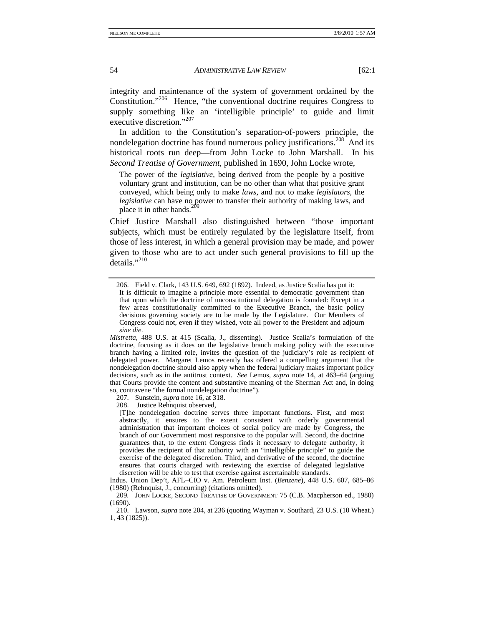integrity and maintenance of the system of government ordained by the Constitution."206 Hence, "the conventional doctrine requires Congress to supply something like an 'intelligible principle' to guide and limit executive discretion."<sup>207</sup>

In addition to the Constitution's separation-of-powers principle, the nondelegation doctrine has found numerous policy justifications.<sup>208</sup> And its historical roots run deep—from John Locke to John Marshall. In his *Second Treatise of Government*, published in 1690, John Locke wrote,

The power of the *legislative*, being derived from the people by a positive voluntary grant and institution, can be no other than what that positive grant conveyed, which being only to make *laws*, and not to make *legislators*, the *legislative* can have no power to transfer their authority of making laws, and place it in other hands.<sup>20</sup>

Chief Justice Marshall also distinguished between "those important subjects, which must be entirely regulated by the legislature itself, from those of less interest, in which a general provision may be made, and power given to those who are to act under such general provisions to fill up the details."<sup>210</sup>

*Mistretta*, 488 U.S. at 415 (Scalia, J., dissenting). Justice Scalia's formulation of the doctrine, focusing as it does on the legislative branch making policy with the executive branch having a limited role, invites the question of the judiciary's role as recipient of delegated power. Margaret Lemos recently has offered a compelling argument that the nondelegation doctrine should also apply when the federal judiciary makes important policy decisions, such as in the antitrust context. *See* Lemos, *supra* note 14, at 463–64 (arguing that Courts provide the content and substantive meaning of the Sherman Act and, in doing so, contravene "the formal nondelegation doctrine").

207. Sunstein, *supra* note 16, at 318.

208. Justice Rehnquist observed,

[T]he nondelegation doctrine serves three important functions. First, and most abstractly, it ensures to the extent consistent with orderly governmental administration that important choices of social policy are made by Congress, the branch of our Government most responsive to the popular will. Second, the doctrine guarantees that, to the extent Congress finds it necessary to delegate authority, it provides the recipient of that authority with an "intelligible principle" to guide the exercise of the delegated discretion. Third, and derivative of the second, the doctrine ensures that courts charged with reviewing the exercise of delegated legislative discretion will be able to test that exercise against ascertainable standards.

Indus. Union Dep't, AFL–CIO v. Am. Petroleum Inst. (*Benzene*), 448 U.S. 607, 685–86 (1980) (Rehnquist, J., concurring) (citations omitted).

209*.* JOHN LOCKE, SECOND TREATISE OF GOVERNMENT 75 (C.B. Macpherson ed., 1980) (1690).

 210. Lawson, *supra* note 204, at 236 (quoting Wayman v. Southard, 23 U.S. (10 Wheat.) 1, 43 (1825)).

 <sup>206.</sup> Field v. Clark, 143 U.S. 649, 692 (1892). Indeed, as Justice Scalia has put it: It is difficult to imagine a principle more essential to democratic government than that upon which the doctrine of unconstitutional delegation is founded: Except in a few areas constitutionally committed to the Executive Branch, the basic policy decisions governing society are to be made by the Legislature. Our Members of Congress could not, even if they wished, vote all power to the President and adjourn *sine die*.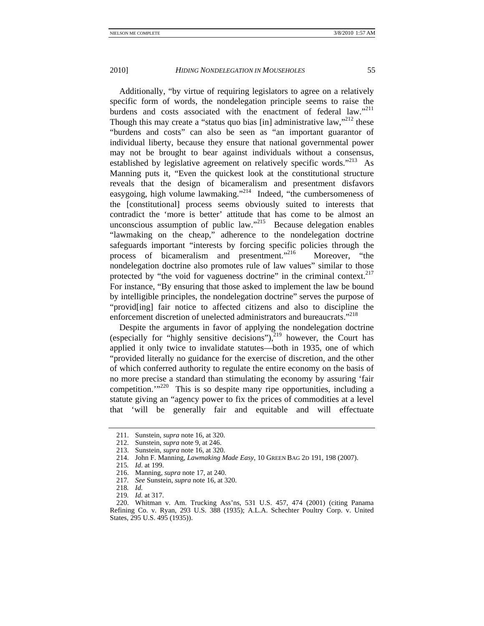Additionally, "by virtue of requiring legislators to agree on a relatively specific form of words, the nondelegation principle seems to raise the burdens and costs associated with the enactment of federal law."<sup>211</sup> Though this may create a "status quo bias [in] administrative  $law''^{212}$  these "burdens and costs" can also be seen as "an important guarantor of individual liberty, because they ensure that national governmental power may not be brought to bear against individuals without a consensus, established by legislative agreement on relatively specific words."<sup>213</sup> As Manning puts it, "Even the quickest look at the constitutional structure reveals that the design of bicameralism and presentment disfavors easygoing, high volume lawmaking."<sup>214</sup> Indeed, "the cumbersomeness of the [constitutional] process seems obviously suited to interests that contradict the 'more is better' attitude that has come to be almost an unconscious assumption of public  $law.^{9215}$  Because delegation enables "lawmaking on the cheap," adherence to the nondelegation doctrine safeguards important "interests by forcing specific policies through the process of bicameralism and presentment."<sup>216</sup> Moreover, "the nondelegation doctrine also promotes rule of law values" similar to those protected by "the void for vagueness doctrine" in the criminal context.<sup>217</sup> For instance, "By ensuring that those asked to implement the law be bound by intelligible principles, the nondelegation doctrine" serves the purpose of "provid[ing] fair notice to affected citizens and also to discipline the enforcement discretion of unelected administrators and bureaucrats."<sup>218</sup>

Despite the arguments in favor of applying the nondelegation doctrine (especially for "highly sensitive decisions"), $^{219}$  however, the Court has applied it only twice to invalidate statutes—both in 1935, one of which "provided literally no guidance for the exercise of discretion, and the other of which conferred authority to regulate the entire economy on the basis of no more precise a standard than stimulating the economy by assuring 'fair competition. $1^{1/220}$  This is so despite many ripe opportunities, including a statute giving an "agency power to fix the prices of commodities at a level that 'will be generally fair and equitable and will effectuate

 <sup>211.</sup> Sunstein, *supra* note 16, at 320.

 <sup>212.</sup> Sunstein, *supra* note 9, at 246.

 <sup>213.</sup> Sunstein, *supra* note 16, at 320.

 <sup>214.</sup> John F. Manning, *Lawmaking Made Easy*, 10 GREEN BAG 2D 191, 198 (2007).

<sup>215</sup>*. Id*. at 199.

 <sup>216.</sup> Manning, *supra* note 17, at 240.

<sup>217</sup>*. See* Sunstein, *supra* note 16, at 320.

<sup>218</sup>*. Id.* 

<sup>219</sup>*. Id.* at 317.

 <sup>220.</sup> Whitman v. Am. Trucking Ass'ns, 531 U.S. 457, 474 (2001) (citing Panama Refining Co. v. Ryan, 293 U.S. 388 (1935); A.L.A. Schechter Poultry Corp. v. United States, 295 U.S. 495 (1935)).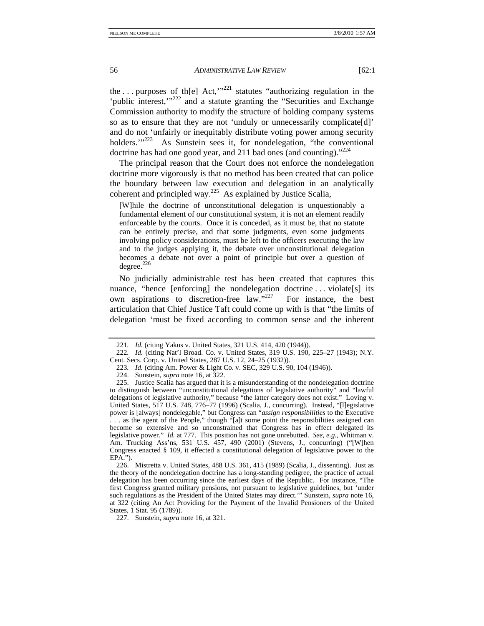the ... purposes of the  $Act$ ,  $m^{221}$  statutes "authorizing regulation in the 'public interest,'"<sup>222</sup> and a statute granting the "Securities and Exchange" Commission authority to modify the structure of holding company systems so as to ensure that they are not 'unduly or unnecessarily complicate[d]' and do not 'unfairly or inequitably distribute voting power among security holders."<sup>223</sup> As Sunstein sees it, for nondelegation, "the conventional doctrine has had one good year, and 211 bad ones (and counting). $^{224}$ 

The principal reason that the Court does not enforce the nondelegation doctrine more vigorously is that no method has been created that can police the boundary between law execution and delegation in an analytically coherent and principled way.<sup>225</sup> As explained by Justice Scalia,

[W]hile the doctrine of unconstitutional delegation is unquestionably a fundamental element of our constitutional system, it is not an element readily enforceable by the courts. Once it is conceded, as it must be, that no statute can be entirely precise, and that some judgments, even some judgments involving policy considerations, must be left to the officers executing the law and to the judges applying it, the debate over unconstitutional delegation becomes a debate not over a point of principle but over a question of degree.<sup>226</sup>

No judicially administrable test has been created that captures this nuance, "hence [enforcing] the nondelegation doctrine ... violate[s] its own aspirations to discretion-free law."227 For instance, the best articulation that Chief Justice Taft could come up with is that "the limits of delegation 'must be fixed according to common sense and the inherent

<sup>221</sup>*. Id.* (citing Yakus v. United States, 321 U.S. 414, 420 (1944)).

<sup>222</sup>*. Id.* (citing Nat'l Broad. Co. v. United States, 319 U.S. 190, 225–27 (1943); N.Y. Cent. Secs. Corp. v. United States, 287 U.S. 12, 24–25 (1932)).

<sup>223.</sup> *Id.* (citing Am. Power & Light Co. v. SEC, 329 U.S. 90, 104 (1946)).

 <sup>224.</sup> Sunstein, *supra* note 16, at 322.

 <sup>225.</sup> Justice Scalia has argued that it is a misunderstanding of the nondelegation doctrine to distinguish between "unconstitutional delegations of legislative authority" and "lawful delegations of legislative authority," because "the latter category does not exist." Loving v. United States, 517 U.S. 748, 776–77 (1996) (Scalia, J., concurring). Instead, "[l]egislative power is [always] nondelegable," but Congress can "*assign responsibilities* to the Executive . . . as the agent of the People," though "[a]t some point the responsibilities assigned can become so extensive and so unconstrained that Congress has in effect delegated its legislative power." *Id.* at 777. This position has not gone unrebutted. *See, e.g.*, Whitman v. Am. Trucking Ass'ns, 531 U.S. 457, 490 (2001) (Stevens, J., concurring) ("[W]hen Congress enacted § 109, it effected a constitutional delegation of legislative power to the EPA.").

 <sup>226.</sup> Mistretta v. United States, 488 U.S. 361, 415 (1989) (Scalia, J., dissenting). Just as the theory of the nondelegation doctrine has a long-standing pedigree, the practice of actual delegation has been occurring since the earliest days of the Republic. For instance, "The first Congress granted military pensions, not pursuant to legislative guidelines, but 'under such regulations as the President of the United States may direct.'" Sunstein, *supra* note 16, at 322 (citing An Act Providing for the Payment of the Invalid Pensioners of the United States, 1 Stat. 95 (1789)).

 <sup>227.</sup> Sunstein, *supra* note 16, at 321.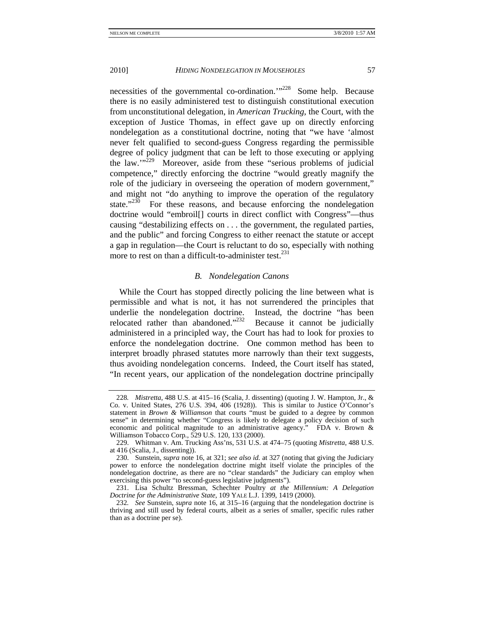necessities of the governmental co-ordination.<sup>'"228</sup> Some help. Because there is no easily administered test to distinguish constitutional execution from unconstitutional delegation, in *American Trucking*, the Court, with the exception of Justice Thomas, in effect gave up on directly enforcing nondelegation as a constitutional doctrine, noting that "we have 'almost never felt qualified to second-guess Congress regarding the permissible degree of policy judgment that can be left to those executing or applying the law."<sup>229</sup> Moreover, aside from these "serious problems of judicial competence," directly enforcing the doctrine "would greatly magnify the role of the judiciary in overseeing the operation of modern government," and might not "do anything to improve the operation of the regulatory state. $1230$  For these reasons, and because enforcing the nondelegation doctrine would "embroil[] courts in direct conflict with Congress"—thus causing "destabilizing effects on . . . the government, the regulated parties, and the public" and forcing Congress to either reenact the statute or accept a gap in regulation—the Court is reluctant to do so, especially with nothing more to rest on than a difficult-to-administer test.<sup>231</sup>

## *B. Nondelegation Canons*

While the Court has stopped directly policing the line between what is permissible and what is not, it has not surrendered the principles that underlie the nondelegation doctrine. Instead, the doctrine "has been relocated rather than abandoned. $2^{322}$  Because it cannot be judicially administered in a principled way, the Court has had to look for proxies to enforce the nondelegation doctrine. One common method has been to interpret broadly phrased statutes more narrowly than their text suggests, thus avoiding nondelegation concerns. Indeed, the Court itself has stated, "In recent years, our application of the nondelegation doctrine principally

<sup>228</sup>*. Mistretta*, 488 U.S. at 415–16 (Scalia, J. dissenting) (quoting J. W. Hampton, Jr., & Co. v. United States, 276 U.S. 394, 406 (1928)). This is similar to Justice O'Connor's statement in *Brown & Williamson* that courts "must be guided to a degree by common sense" in determining whether "Congress is likely to delegate a policy decision of such economic and political magnitude to an administrative agency." FDA v. Brown & Williamson Tobacco Corp*.*, 529 U.S. 120, 133 (2000).

 <sup>229.</sup> Whitman v. Am. Trucking Ass'ns, 531 U.S. at 474–75 (quoting *Mistretta*, 488 U.S. at 416 (Scalia, J., dissenting)).

 <sup>230.</sup> Sunstein, *supra* note 16, at 321; *see also id.* at 327 (noting that giving the Judiciary power to enforce the nondelegation doctrine might itself violate the principles of the nondelegation doctrine, as there are no "clear standards" the Judiciary can employ when exercising this power "to second-guess legislative judgments").

 <sup>231.</sup> Lisa Schultz Bressman, Schechter Poultry *at the Millennium: A Delegation Doctrine for the Administrative State*, 109 YALE L.J. 1399, 1419 (2000).

<sup>232</sup>*. See* Sunstein, *supra* note 16, at 315–16 (arguing that the nondelegation doctrine is thriving and still used by federal courts, albeit as a series of smaller, specific rules rather than as a doctrine per se).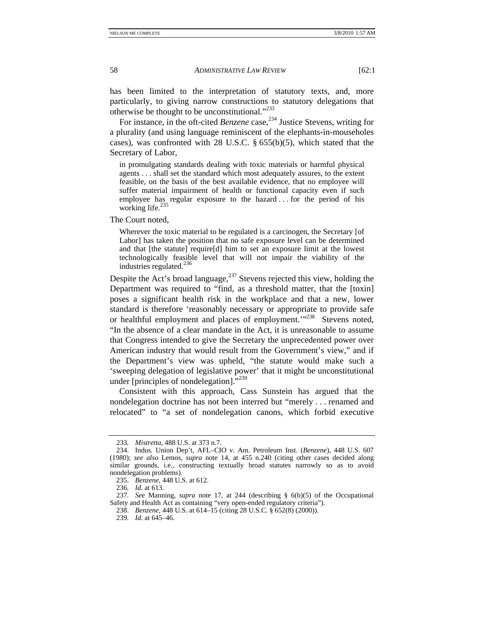has been limited to the interpretation of statutory texts, and, more particularly, to giving narrow constructions to statutory delegations that otherwise be thought to be unconstitutional."233

For instance, in the oft-cited *Benzene* case,<sup>234</sup> Justice Stevens, writing for a plurality (and using language reminiscent of the elephants-in-mouseholes cases), was confronted with 28 U.S.C. § 655(b)(5), which stated that the Secretary of Labor,

in promulgating standards dealing with toxic materials or harmful physical agents . . . shall set the standard which most adequately assures, to the extent feasible, on the basis of the best available evidence, that no employee will suffer material impairment of health or functional capacity even if such employee has regular exposure to the hazard . . . for the period of his working life.<sup>235</sup>

The Court noted,

Wherever the toxic material to be regulated is a carcinogen, the Secretary [of Labor] has taken the position that no safe exposure level can be determined and that [the statute] require[d] him to set an exposure limit at the lowest technologically feasible level that will not impair the viability of the industries regulated.<sup>236</sup>

Despite the Act's broad language, $237$  Stevens rejected this view, holding the Department was required to "find, as a threshold matter, that the [toxin] poses a significant health risk in the workplace and that a new, lower standard is therefore 'reasonably necessary or appropriate to provide safe or healthful employment and places of employment.'"<sup>238</sup> Stevens noted, "In the absence of a clear mandate in the Act, it is unreasonable to assume that Congress intended to give the Secretary the unprecedented power over American industry that would result from the Government's view," and if the Department's view was upheld, "the statute would make such a 'sweeping delegation of legislative power' that it might be unconstitutional under [principles of nondelegation]."<sup>239</sup>

Consistent with this approach, Cass Sunstein has argued that the nondelegation doctrine has not been interred but "merely . . . renamed and relocated" to "a set of nondelegation canons, which forbid executive

<sup>233</sup>*. Mistretta*, 488 U.S. at 373 n.7.

 <sup>234.</sup> Indus*.* Union Dep't, AFL–CIO v. Am. Petroleum Inst. (*Benzene*), 448 U.S. 607 (1980); *see also* Lemos, *supra* note 14, at 455 n.240 (citing other cases decided along similar grounds, i.e., constructing textually broad statutes narrowly so as to avoid nondelegation problems).

 <sup>235.</sup> *Benzene*, 448 U.S. at 612.

<sup>236</sup>*. Id*. at 613.

<sup>237</sup>*. See* Manning, *supra* note 17, at 244 (describing § 6(b)(5) of the Occupational Safety and Health Act as containing "very open-ended regulatory criteria").

 <sup>238.</sup> *Benzene*, 448 U.S. at 614–15 (citing 28 U.S.C. § 652(8) (2000)).

<sup>239</sup>*. Id.* at 645–46.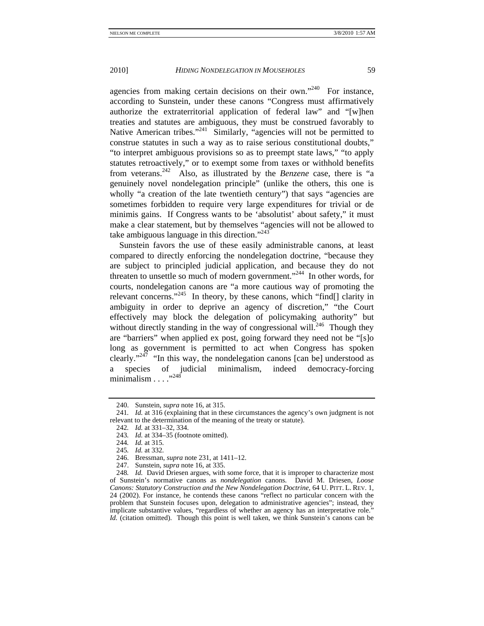agencies from making certain decisions on their own."<sup>240</sup> For instance, according to Sunstein, under these canons "Congress must affirmatively authorize the extraterritorial application of federal law" and "[w]hen treaties and statutes are ambiguous, they must be construed favorably to Native American tribes."<sup>241</sup> Similarly, "agencies will not be permitted to construe statutes in such a way as to raise serious constitutional doubts," "to interpret ambiguous provisions so as to preempt state laws," "to apply statutes retroactively," or to exempt some from taxes or withhold benefits from veterans.242 Also, as illustrated by the *Benzene* case, there is "a genuinely novel nondelegation principle" (unlike the others, this one is wholly "a creation of the late twentieth century") that says "agencies are sometimes forbidden to require very large expenditures for trivial or de minimis gains. If Congress wants to be 'absolutist' about safety," it must make a clear statement, but by themselves "agencies will not be allowed to take ambiguous language in this direction." $243$ 

Sunstein favors the use of these easily administrable canons, at least compared to directly enforcing the nondelegation doctrine, "because they are subject to principled judicial application, and because they do not threaten to unsettle so much of modern government."244 In other words, for courts, nondelegation canons are "a more cautious way of promoting the relevant concerns."<sup>245</sup> In theory, by these canons, which "find.] clarity in ambiguity in order to deprive an agency of discretion," "the Court effectively may block the delegation of policymaking authority" but without directly standing in the way of congressional will.<sup>246</sup> Though they are "barriers" when applied ex post, going forward they need not be "[s]o long as government is permitted to act when Congress has spoken clearly."<sup>247</sup> "In this way, the nondelegation canons [can be] understood as a species of judicial minimalism, indeed democracy-forcing<br>minimalism  $^{1248}$ minimalism . . .

 <sup>240.</sup> Sunstein, *supra* note 16, at 315.

<sup>241</sup>*. Id.* at 316 (explaining that in these circumstances the agency's own judgment is not relevant to the determination of the meaning of the treaty or statute).

<sup>242</sup>*. Id.* at 331–32, 334.

<sup>243</sup>*. Id.* at 334–35 (footnote omitted).

<sup>244</sup>*. Id.* at 315.

<sup>245</sup>*. Id.* at 332.

 <sup>246.</sup> Bressman, *supra* note 231, at 1411–12.

 <sup>247.</sup> Sunstein, *supra* note 16, at 335.

<sup>248</sup>*. Id.* David Driesen argues, with some force, that it is improper to characterize most of Sunstein's normative canons as *nondelegation* canons. David M. Driesen, *Loose Canons: Statutory Construction and the New Nondelegation Doctrine*, 64 U. PITT. L. REV. 1, 24 (2002). For instance, he contends these canons "reflect no particular concern with the problem that Sunstein focuses upon, delegation to administrative agencies"; instead, they implicate substantive values, "regardless of whether an agency has an interpretative role." *Id.* (citation omitted). Though this point is well taken, we think Sunstein's canons can be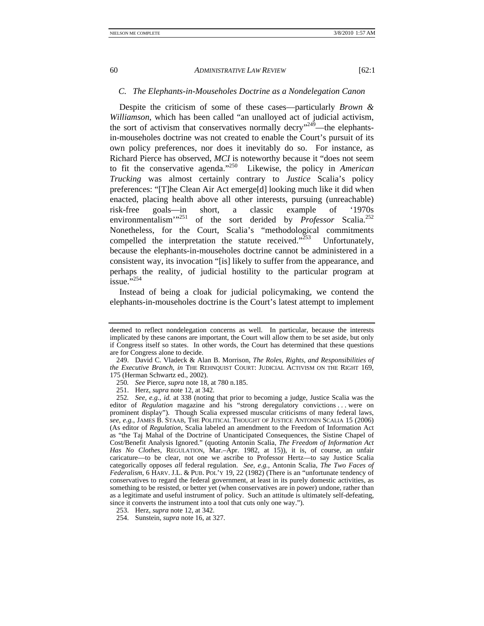#### *C. The Elephants-in-Mouseholes Doctrine as a Nondelegation Canon*

Despite the criticism of some of these cases—particularly *Brown & Williamson*, which has been called "an unalloyed act of judicial activism, the sort of activism that conservatives normally decry<sup> $n^2$ 49</sup>—the elephantsin-mouseholes doctrine was not created to enable the Court's pursuit of its own policy preferences, nor does it inevitably do so. For instance, as Richard Pierce has observed, *MCI* is noteworthy because it "does not seem to fit the conservative agenda."250 Likewise, the policy in *American Trucking* was almost certainly contrary to *Justice* Scalia's policy preferences: "[T]he Clean Air Act emerge[d] looking much like it did when enacted, placing health above all other interests, pursuing (unreachable) risk-free goals—in short, a classic example of '1970s environmentalism<sup>"251</sup> of the sort derided by *Professor* Scalia.<sup>252</sup> Nonetheless, for the Court, Scalia's "methodological commitments compelled the interpretation the statute received." $253$  Unfortunately, because the elephants-in-mouseholes doctrine cannot be administered in a consistent way, its invocation "[is] likely to suffer from the appearance, and perhaps the reality, of judicial hostility to the particular program at  $i$ ssue." $254$ 

Instead of being a cloak for judicial policymaking, we contend the elephants-in-mouseholes doctrine is the Court's latest attempt to implement

deemed to reflect nondelegation concerns as well. In particular, because the interests implicated by these canons are important, the Court will allow them to be set aside, but only if Congress itself so states. In other words, the Court has determined that these questions are for Congress alone to decide.

 <sup>249.</sup> David C. Vladeck & Alan B. Morrison, *The Roles, Rights, and Responsibilities of the Executive Branch*, *in* THE REHNQUIST COURT: JUDICIAL ACTIVISM ON THE RIGHT 169, 175 (Herman Schwartz ed., 2002).

<sup>250</sup>*. See* Pierce, *supra* note 18, at 780 n.185.

 <sup>251.</sup> Herz, *supra* note 12, at 342.

<sup>252</sup>*. See, e.g.*, *id.* at 338 (noting that prior to becoming a judge, Justice Scalia was the editor of *Regulation* magazine and his "strong deregulatory convictions . . . were on prominent display"). Though Scalia expressed muscular criticisms of many federal laws, *see, e.g.*, JAMES B. STAAB, THE POLITICAL THOUGHT OF JUSTICE ANTONIN SCALIA 15 (2006) (As editor of *Regulation*, Scalia labeled an amendment to the Freedom of Information Act as "the Taj Mahal of the Doctrine of Unanticipated Consequences, the Sistine Chapel of Cost/Benefit Analysis Ignored." (quoting Antonin Scalia, *The Freedom of Information Act Has No Clothes*, REGULATION, Mar.–Apr. 1982, at 15)), it is, of course, an unfair caricature—to be clear, not one we ascribe to Professor Hertz—to say Justice Scalia categorically opposes *all* federal regulation. *See, e.g.*, Antonin Scalia, *The Two Faces of Federalism*, 6 HARV. J.L. & PUB. POL'Y 19, 22 (1982) (There is an "unfortunate tendency of conservatives to regard the federal government, at least in its purely domestic activities, as something to be resisted, or better yet (when conservatives are in power) undone, rather than as a legitimate and useful instrument of policy. Such an attitude is ultimately self-defeating, since it converts the instrument into a tool that cuts only one way.").

 <sup>253.</sup> Herz, *supra* note 12, at 342.

 <sup>254.</sup> Sunstein, *supra* note 16, at 327.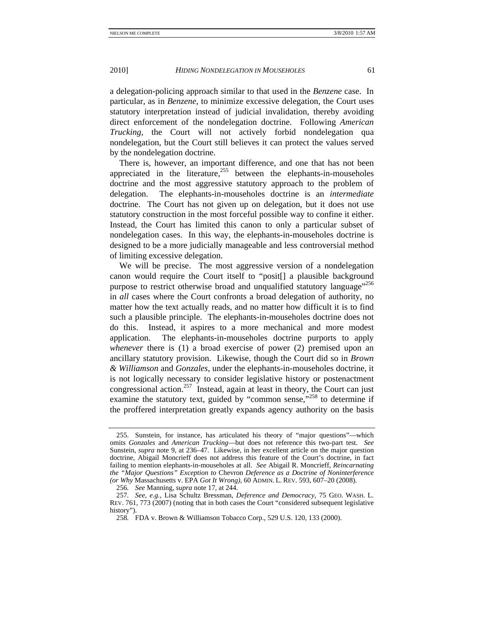a delegation-policing approach similar to that used in the *Benzene* case. In particular, as in *Benzene*, to minimize excessive delegation, the Court uses statutory interpretation instead of judicial invalidation, thereby avoiding direct enforcement of the nondelegation doctrine. Following *American Trucking*, the Court will not actively forbid nondelegation qua nondelegation, but the Court still believes it can protect the values served by the nondelegation doctrine.

There is, however, an important difference, and one that has not been appreciated in the literature, $255$  between the elephants-in-mouseholes doctrine and the most aggressive statutory approach to the problem of delegation. The elephants-in-mouseholes doctrine is an *intermediate* doctrine. The Court has not given up on delegation, but it does not use statutory construction in the most forceful possible way to confine it either. Instead, the Court has limited this canon to only a particular subset of nondelegation cases. In this way, the elephants-in-mouseholes doctrine is designed to be a more judicially manageable and less controversial method of limiting excessive delegation.

We will be precise. The most aggressive version of a nondelegation canon would require the Court itself to "posit[] a plausible background purpose to restrict otherwise broad and unqualified statutory language"<sup>256</sup> in *all* cases where the Court confronts a broad delegation of authority, no matter how the text actually reads, and no matter how difficult it is to find such a plausible principle. The elephants-in-mouseholes doctrine does not do this. Instead, it aspires to a more mechanical and more modest application. The elephants-in-mouseholes doctrine purports to apply *whenever* there is (1) a broad exercise of power (2) premised upon an ancillary statutory provision. Likewise, though the Court did so in *Brown & Williamson* and *Gonzales*, under the elephants-in-mouseholes doctrine, it is not logically necessary to consider legislative history or postenactment congressional action.<sup>257</sup> Instead, again at least in theory, the Court can just examine the statutory text, guided by "common sense,"<sup>258</sup> to determine if the proffered interpretation greatly expands agency authority on the basis

 <sup>255.</sup> Sunstein, for instance, has articulated his theory of "major questions"—which omits *Gonzales* and *American Trucking*—but does not reference this two-part test. *See* Sunstein, *supra* note 9, at 236–47. Likewise, in her excellent article on the major question doctrine, Abigail Moncrieff does not address this feature of the Court's doctrine, in fact failing to mention elephants-in-mouseholes at all. *See* Abigail R. Moncrieff, *Reincarnating the "Major Questions" Exception to* Chevron *Deference as a Doctrine of Noninterference (or Why* Massachusetts v. EPA *Got It Wrong)*, 60 ADMIN. L. REV. 593, 607–20 (2008).

<sup>256</sup>*. See* Manning, *supra* note 17, at 244.

<sup>257</sup>*. See, e.g.*, Lisa Schultz Bressman, *Deference and Democracy*, 75 GEO. WASH. L. REV. 761, 773 (2007) (noting that in both cases the Court "considered subsequent legislative history").

<sup>258</sup>*.* FDA v. Brown & Williamson Tobacco Corp., 529 U.S. 120, 133 (2000).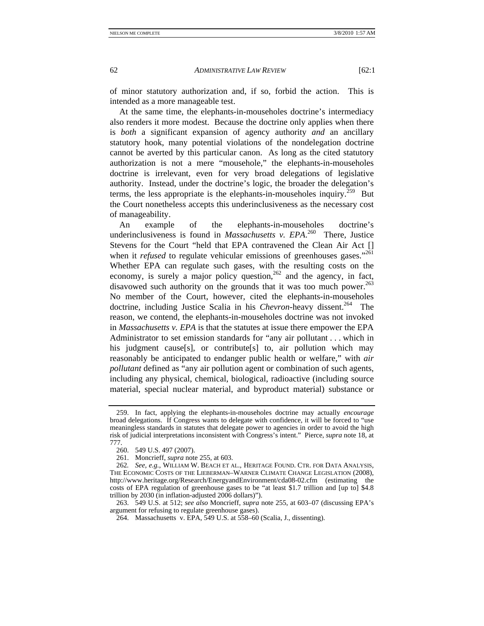of minor statutory authorization and, if so, forbid the action. This is intended as a more manageable test.

At the same time, the elephants-in-mouseholes doctrine's intermediacy also renders it more modest. Because the doctrine only applies when there is *both* a significant expansion of agency authority *and* an ancillary statutory hook, many potential violations of the nondelegation doctrine cannot be averted by this particular canon. As long as the cited statutory authorization is not a mere "mousehole," the elephants-in-mouseholes doctrine is irrelevant, even for very broad delegations of legislative authority. Instead, under the doctrine's logic, the broader the delegation's terms, the less appropriate is the elephants-in-mouseholes inquiry.<sup> $259$ </sup> But the Court nonetheless accepts this underinclusiveness as the necessary cost of manageability.

An example of the elephants-in-mouseholes doctrine's underinclusiveness is found in *Massachusetts v. EPA*. 260 There, Justice Stevens for the Court "held that EPA contravened the Clean Air Act [] when it *refused* to regulate vehicular emissions of greenhouses gases."<sup>261</sup> Whether EPA can regulate such gases, with the resulting costs on the economy, is surely a major policy question,<sup>262</sup> and the agency, in fact, disavowed such authority on the grounds that it was too much power.<sup>263</sup> No member of the Court, however, cited the elephants-in-mouseholes doctrine, including Justice Scalia in his *Chevron*-heavy dissent.<sup>264</sup> The reason, we contend, the elephants-in-mouseholes doctrine was not invoked in *Massachusetts v. EPA* is that the statutes at issue there empower the EPA Administrator to set emission standards for "any air pollutant . . . which in his judgment cause[s], or contribute[s] to, air pollution which may reasonably be anticipated to endanger public health or welfare," with *air pollutant* defined as "any air pollution agent or combination of such agents, including any physical, chemical, biological, radioactive (including source material, special nuclear material, and byproduct material) substance or

 <sup>259.</sup> In fact, applying the elephants-in-mouseholes doctrine may actually *encourage* broad delegations. If Congress wants to delegate with confidence, it will be forced to "use meaningless standards in statutes that delegate power to agencies in order to avoid the high risk of judicial interpretations inconsistent with Congress's intent." Pierce, *supra* note 18, at 777.

 <sup>260. 549</sup> U.S. 497 (2007).

 <sup>261.</sup> Moncrieff, *supra* note 255, at 603.

<sup>262</sup>*. See, e.g.*, WILLIAM W. BEACH ET AL., HERITAGE FOUND. CTR. FOR DATA ANALYSIS, THE ECONOMIC COSTS OF THE LIEBERMAN–WARNER CLIMATE CHANGE LEGISLATION (2008), http://www.heritage.org/Research/EnergyandEnvironment/cda08-02.cfm (estimating the costs of EPA regulation of greenhouse gases to be "at least \$1.7 trillion and [up to] \$4.8 trillion by 2030 (in inflation-adjusted 2006 dollars)").

 <sup>263. 549</sup> U.S. at 512; *see also* Moncrieff, *supra* note 255, at 603–07 (discussing EPA's argument for refusing to regulate greenhouse gases).

 <sup>264.</sup> Massachusetts v. EPA, 549 U.S. at 558–60 (Scalia, J., dissenting).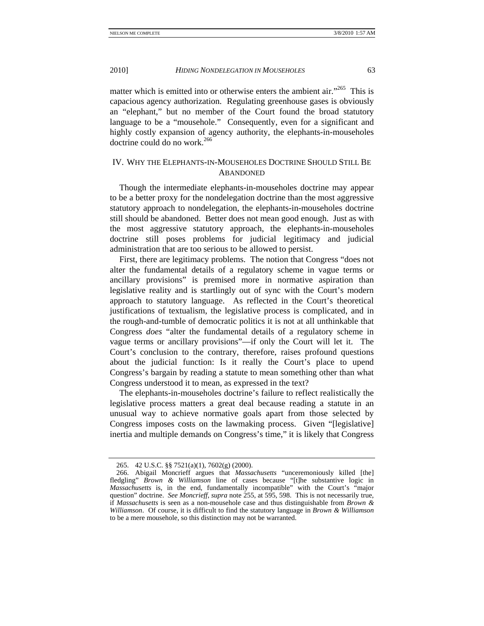matter which is emitted into or otherwise enters the ambient air."<sup>265</sup> This is capacious agency authorization. Regulating greenhouse gases is obviously an "elephant," but no member of the Court found the broad statutory language to be a "mousehole." Consequently, even for a significant and highly costly expansion of agency authority, the elephants-in-mouseholes doctrine could do no work  $266$ 

# IV. WHY THE ELEPHANTS-IN-MOUSEHOLES DOCTRINE SHOULD STILL BE **ABANDONED**

Though the intermediate elephants-in-mouseholes doctrine may appear to be a better proxy for the nondelegation doctrine than the most aggressive statutory approach to nondelegation, the elephants-in-mouseholes doctrine still should be abandoned. Better does not mean good enough. Just as with the most aggressive statutory approach, the elephants-in-mouseholes doctrine still poses problems for judicial legitimacy and judicial administration that are too serious to be allowed to persist.

First, there are legitimacy problems. The notion that Congress "does not alter the fundamental details of a regulatory scheme in vague terms or ancillary provisions" is premised more in normative aspiration than legislative reality and is startlingly out of sync with the Court's modern approach to statutory language. As reflected in the Court's theoretical justifications of textualism, the legislative process is complicated, and in the rough-and-tumble of democratic politics it is not at all unthinkable that Congress *does* "alter the fundamental details of a regulatory scheme in vague terms or ancillary provisions"—if only the Court will let it. The Court's conclusion to the contrary, therefore, raises profound questions about the judicial function: Is it really the Court's place to upend Congress's bargain by reading a statute to mean something other than what Congress understood it to mean, as expressed in the text?

The elephants-in-mouseholes doctrine's failure to reflect realistically the legislative process matters a great deal because reading a statute in an unusual way to achieve normative goals apart from those selected by Congress imposes costs on the lawmaking process. Given "[legislative] inertia and multiple demands on Congress's time," it is likely that Congress

 <sup>265. 42</sup> U.S.C. §§ 7521(a)(1), 7602(g) (2000).

 <sup>266.</sup> Abigail Moncrieff argues that *Massachusetts* "unceremoniously killed [the] fledgling" *Brown & Williamson* line of cases because "[t]he substantive logic in *Massachusetts* is, in the end, fundamentally incompatible" with the Court's "major question" doctrine. *See Moncrieff*, *supra* note 255, at 595, 598. This is not necessarily true, if *Massachusetts* is seen as a non-mousehole case and thus distinguishable from *Brown & Williamson*. Of course, it is difficult to find the statutory language in *Brown & Williamson* to be a mere mousehole, so this distinction may not be warranted.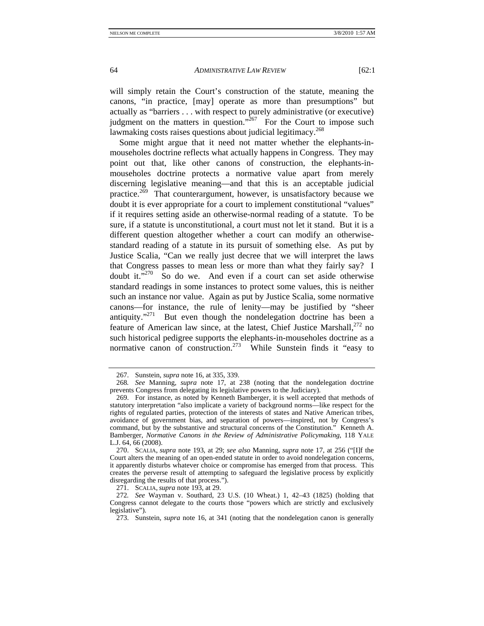will simply retain the Court's construction of the statute, meaning the canons, "in practice, [may] operate as more than presumptions" but actually as "barriers . . . with respect to purely administrative (or executive) judgment on the matters in question."<sup>267</sup> For the Court to impose such lawmaking costs raises questions about judicial legitimacy.<sup>268</sup>

Some might argue that it need not matter whether the elephants-inmouseholes doctrine reflects what actually happens in Congress. They may point out that, like other canons of construction, the elephants-inmouseholes doctrine protects a normative value apart from merely discerning legislative meaning—and that this is an acceptable judicial practice. $269$  That counterargument, however, is unsatisfactory because we doubt it is ever appropriate for a court to implement constitutional "values" if it requires setting aside an otherwise-normal reading of a statute. To be sure, if a statute is unconstitutional, a court must not let it stand. But it is a different question altogether whether a court can modify an otherwisestandard reading of a statute in its pursuit of something else. As put by Justice Scalia, "Can we really just decree that we will interpret the laws that Congress passes to mean less or more than what they fairly say? I doubt it."<sup>270</sup> So do we. And even if a court can set aside otherwise standard readings in some instances to protect some values, this is neither such an instance nor value. Again as put by Justice Scalia, some normative canons—for instance, the rule of lenity—may be justified by "sheer antiquity."<sup>271</sup> But even though the nondelegation doctrine has been a feature of American law since, at the latest, Chief Justice Marshall,<sup>272</sup> no such historical pedigree supports the elephants-in-mouseholes doctrine as a normative canon of construction.<sup>273</sup> While Sunstein finds it "easy to

271. SCALIA, *supra* note 193, at 29.

 <sup>267.</sup> Sunstein, *supra* note 16, at 335, 339.

<sup>268</sup>*. See* Manning, *supra* note 17, at 238 (noting that the nondelegation doctrine prevents Congress from delegating its legislative powers to the Judiciary).

 <sup>269.</sup> For instance, as noted by Kenneth Bamberger, it is well accepted that methods of statutory interpretation "also implicate a variety of background norms—like respect for the rights of regulated parties, protection of the interests of states and Native American tribes, avoidance of government bias, and separation of powers—inspired, not by Congress's command, but by the substantive and structural concerns of the Constitution." Kenneth A. Bamberger, *Normative Canons in the Review of Administrative Policymaking*, 118 YALE L.J. 64, 66 (2008).

 <sup>270.</sup> SCALIA, *supra* note 193, at 29; *see also* Manning, *supra* note 17, at 256 ("[I]f the Court alters the meaning of an open-ended statute in order to avoid nondelegation concerns, it apparently disturbs whatever choice or compromise has emerged from that process. This creates the perverse result of attempting to safeguard the legislative process by explicitly disregarding the results of that process.").

<sup>272</sup>*. See* Wayman v. Southard, 23 U.S. (10 Wheat.) 1, 42–43 (1825) (holding that Congress cannot delegate to the courts those "powers which are strictly and exclusively legislative").

 <sup>273.</sup> Sunstein, *supra* note 16, at 341 (noting that the nondelegation canon is generally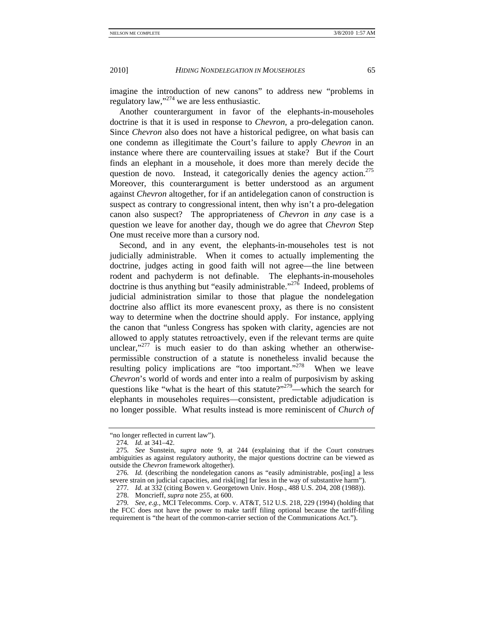imagine the introduction of new canons" to address new "problems in regulatory law,"274 we are less enthusiastic.

Another counterargument in favor of the elephants-in-mouseholes doctrine is that it is used in response to *Chevron*, a pro-delegation canon. Since *Chevron* also does not have a historical pedigree, on what basis can one condemn as illegitimate the Court's failure to apply *Chevron* in an instance where there are countervailing issues at stake? But if the Court finds an elephant in a mousehole, it does more than merely decide the question de novo. Instead, it categorically denies the agency action.<sup>275</sup> Moreover, this counterargument is better understood as an argument against *Chevron* altogether, for if an antidelegation canon of construction is suspect as contrary to congressional intent, then why isn't a pro-delegation canon also suspect? The appropriateness of *Chevron* in *any* case is a question we leave for another day, though we do agree that *Chevron* Step One must receive more than a cursory nod.

Second, and in any event, the elephants-in-mouseholes test is not judicially administrable. When it comes to actually implementing the doctrine, judges acting in good faith will not agree—the line between rodent and pachyderm is not definable. The elephants-in-mouseholes doctrine is thus anything but "easily administrable."<sup>276</sup> Indeed, problems of judicial administration similar to those that plague the nondelegation doctrine also afflict its more evanescent proxy, as there is no consistent way to determine when the doctrine should apply. For instance, applying the canon that "unless Congress has spoken with clarity, agencies are not allowed to apply statutes retroactively, even if the relevant terms are quite unclear, $v^{277}$  is much easier to do than asking whether an otherwisepermissible construction of a statute is nonetheless invalid because the resulting policy implications are "too important."<sup>278</sup> When we leave *Chevron*'s world of words and enter into a realm of purposivism by asking questions like "what is the heart of this statute?"<sup>279</sup>—which the search for elephants in mouseholes requires—consistent, predictable adjudication is no longer possible. What results instead is more reminiscent of *Church of* 

<sup>&</sup>quot;no longer reflected in current law").

<sup>274</sup>*. Id.* at 341–42.

<sup>275</sup>*. See* Sunstein, *supra* note 9, at 244 (explaining that if the Court construes ambiguities as against regulatory authority, the major questions doctrine can be viewed as outside the *Chevron* framework altogether).

<sup>276</sup>*. Id.* (describing the nondelegation canons as "easily administrable, pos[ing] a less severe strain on judicial capacities, and risk[ing] far less in the way of substantive harm").

<sup>277</sup>*. Id.* at 332 (citing Bowen v. Georgetown Univ. Hosp., 488 U.S. 204, 208 (1988)).

 <sup>278.</sup> Moncrieff, *supra* note 255, at 600.

<sup>279</sup>*. See, e.g.*, MCI Telecomms. Corp. v. AT&T, 512 U.S. 218, 229 (1994) (holding that the FCC does not have the power to make tariff filing optional because the tariff-filing requirement is "the heart of the common-carrier section of the Communications Act.").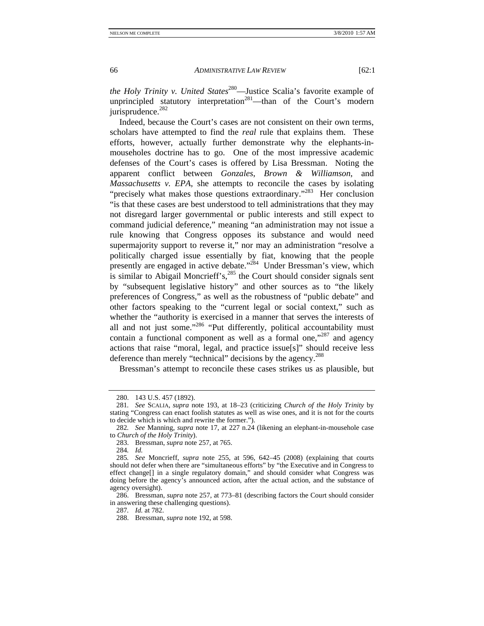*the Holy Trinity v. United States*<sup>280</sup>—Justice Scalia's favorite example of unprincipled statutory interpretation<sup>281</sup>—than of the Court's modern jurisprudence.<sup>282</sup>

Indeed, because the Court's cases are not consistent on their own terms, scholars have attempted to find the *real* rule that explains them. These efforts, however, actually further demonstrate why the elephants-inmouseholes doctrine has to go. One of the most impressive academic defenses of the Court's cases is offered by Lisa Bressman. Noting the apparent conflict between *Gonzales*, *Brown & Williamson*, and *Massachusetts v. EPA*, she attempts to reconcile the cases by isolating "precisely what makes those questions extraordinary."283 Her conclusion "is that these cases are best understood to tell administrations that they may not disregard larger governmental or public interests and still expect to command judicial deference," meaning "an administration may not issue a rule knowing that Congress opposes its substance and would need supermajority support to reverse it," nor may an administration "resolve a politically charged issue essentially by fiat, knowing that the people presently are engaged in active debate."<sup>284</sup> Under Bressman's view, which is similar to Abigail Moncrieff's, $285$  the Court should consider signals sent by "subsequent legislative history" and other sources as to "the likely preferences of Congress," as well as the robustness of "public debate" and other factors speaking to the "current legal or social context," such as whether the "authority is exercised in a manner that serves the interests of all and not just some."<sup>286</sup> "Put differently, political accountability must contain a functional component as well as a formal one," $287$  and agency actions that raise "moral, legal, and practice issue[s]" should receive less deference than merely "technical" decisions by the agency.<sup>288</sup>

Bressman's attempt to reconcile these cases strikes us as plausible, but

284*. Id.* 

 <sup>280. 143</sup> U.S. 457 (1892).

<sup>281</sup>*. See* SCALIA, *supra* note 193, at 18–23 (criticizing *Church of the Holy Trinity* by stating "Congress can enact foolish statutes as well as wise ones, and it is not for the courts to decide which is which and rewrite the former.").

<sup>282</sup>*. See* Manning, *supra* note 17, at 227 n.24 (likening an elephant-in-mousehole case to *Church of the Holy Trinity*).

 <sup>283.</sup> Bressman, *supra* note 257, at 765.

<sup>285</sup>*. See* Moncrieff, *supra* note 255, at 596, 642–45 (2008) (explaining that courts should not defer when there are "simultaneous efforts" by "the Executive and in Congress to effect change[] in a single regulatory domain," and should consider what Congress was doing before the agency's announced action, after the actual action, and the substance of agency oversight).

 <sup>286.</sup> Bressman, *supra* note 257, at 773–81 (describing factors the Court should consider in answering these challenging questions).

<sup>287</sup>*. Id.* at 782.

 <sup>288.</sup> Bressman, *supra* note 192, at 598.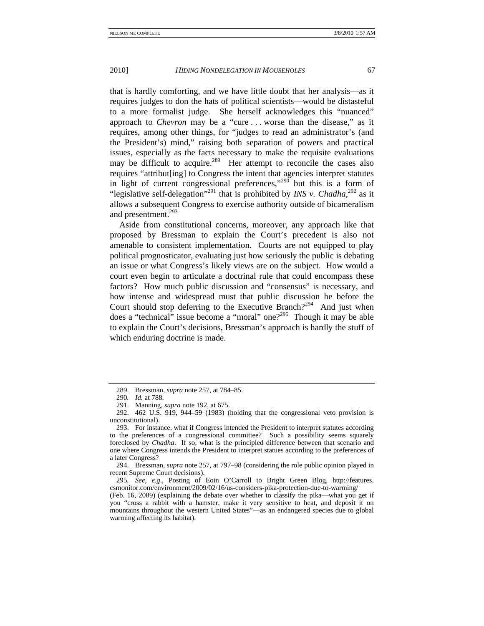that is hardly comforting, and we have little doubt that her analysis—as it requires judges to don the hats of political scientists—would be distasteful to a more formalist judge. She herself acknowledges this "nuanced" approach to *Chevron* may be a "cure . . . worse than the disease," as it requires, among other things, for "judges to read an administrator's (and the President's) mind," raising both separation of powers and practical issues, especially as the facts necessary to make the requisite evaluations may be difficult to acquire.<sup>289</sup> Her attempt to reconcile the cases also requires "attribut[ing] to Congress the intent that agencies interpret statutes in light of current congressional preferences,"<sup>290</sup> but this is a form of "legislative self-delegation"<sup>291</sup> that is prohibited by *INS v. Chadha*,<sup>292</sup> as it allows a subsequent Congress to exercise authority outside of bicameralism and presentment.<sup>293</sup>

Aside from constitutional concerns, moreover, any approach like that proposed by Bressman to explain the Court's precedent is also not amenable to consistent implementation. Courts are not equipped to play political prognosticator, evaluating just how seriously the public is debating an issue or what Congress's likely views are on the subject. How would a court even begin to articulate a doctrinal rule that could encompass these factors? How much public discussion and "consensus" is necessary, and how intense and widespread must that public discussion be before the Court should stop deferring to the Executive Branch?<sup>294</sup> And just when does a "technical" issue become a "moral" one?<sup>295</sup> Though it may be able to explain the Court's decisions, Bressman's approach is hardly the stuff of which enduring doctrine is made.

 <sup>289.</sup> Bressman, *supra* note 257, at 784–85.

<sup>290</sup>*. Id.* at 788.

 <sup>291.</sup> Manning, *supra* note 192, at 675.

 <sup>292. 462</sup> U.S. 919, 944–59 (1983) (holding that the congressional veto provision is unconstitutional).

 <sup>293.</sup> For instance, what if Congress intended the President to interpret statutes according to the preferences of a congressional committee? Such a possibility seems squarely foreclosed by *Chadha*. If so, what is the principled difference between that scenario and one where Congress intends the President to interpret statues according to the preferences of a later Congress?

 <sup>294.</sup> Bressman, *supra* note 257, at 797–98 (considering the role public opinion played in recent Supreme Court decisions).

<sup>295</sup>*. See, e.g*., Posting of Eoin O'Carroll to Bright Green Blog, http://features. csmonitor.com/environment/2009/02/16/us-considers-pika-protection-due-to-warming/

<sup>(</sup>Feb. 16, 2009) (explaining the debate over whether to classify the pika—what you get if you "cross a rabbit with a hamster, make it very sensitive to heat, and deposit it on mountains throughout the western United States"—as an endangered species due to global warming affecting its habitat).